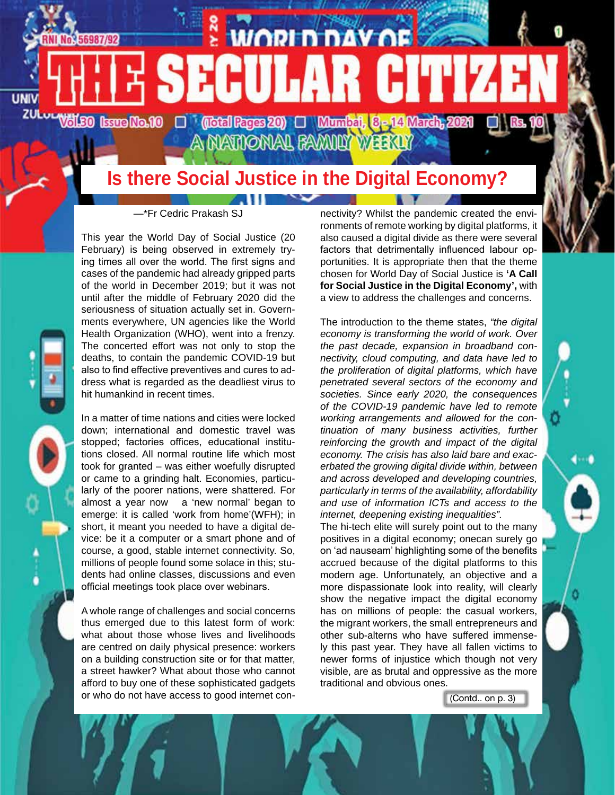

# **Is there Social Justice in the Digital Economy?**

 $\sim$ 

—\*Fr Cedric Prakash SJ

This year the World Day of Social Justice (20 February) is being observed in extremely trying times all over the world. The first signs and cases of the pandemic had already gripped parts of the world in December 2019; but it was not until after the middle of February 2020 did the seriousness of situation actually set in. Governments everywhere, UN agencies like the World Health Organization (WHO), went into a frenzy. The concerted effort was not only to stop the deaths, to contain the pandemic COVID-19 but also to find effective preventives and cures to address what is regarded as the deadliest virus to hit humankind in recent times.

In a matter of time nations and cities were locked down; international and domestic travel was stopped; factories offices, educational institutions closed. All normal routine life which most took for granted – was either woefully disrupted or came to a grinding halt. Economies, particularly of the poorer nations, were shattered. For almost a year now a 'new normal' began to emerge: it is called 'work from home'(WFH); in short, it meant you needed to have a digital device: be it a computer or a smart phone and of course, a good, stable internet connectivity. So, millions of people found some solace in this; students had online classes, discussions and even official meetings took place over webinars.

A whole range of challenges and social concerns thus emerged due to this latest form of work: what about those whose lives and livelihoods are centred on daily physical presence: workers on a building construction site or for that matter, a street hawker? What about those who cannot afford to buy one of these sophisticated gadgets or who do not have access to good internet connectivity? Whilst the pandemic created the environments of remote working by digital platforms, it also caused a digital divide as there were several factors that detrimentally influenced labour opportunities. It is appropriate then that the theme chosen for World Day of Social Justice is **'A Call for Social Justice in the Digital Economy',** with a view to address the challenges and concerns.

The introduction to the theme states, *"the digital economy is transforming the world of work. Over the past decade, expansion in broadband connectivity, cloud computing, and data have led to the proliferation of digital platforms, which have penetrated several sectors of the economy and societies. Since early 2020, the consequences of the COVID-19 pandemic have led to remote working arrangements and allowed for the continuation of many business activities, further reinforcing the growth and impact of the digital economy. The crisis has also laid bare and exacerbated the growing digital divide within, between and across developed and developing countries, particularly in terms of the availability, affordability and use of information ICTs and access to the internet, deepening existing inequalities".*

The hi-tech elite will surely point out to the many positives in a digital economy; onecan surely go on 'ad nauseam' highlighting some of the benefits accrued because of the digital platforms to this modern age. Unfortunately, an objective and a more dispassionate look into reality, will clearly show the negative impact the digital economy has on millions of people: the casual workers, the migrant workers, the small entrepreneurs and other sub-alterns who have suffered immensely this past year. They have all fallen victims to newer forms of injustice which though not very visible, are as brutal and oppressive as the more traditional and obvious ones.

(Contd.. on p. 3)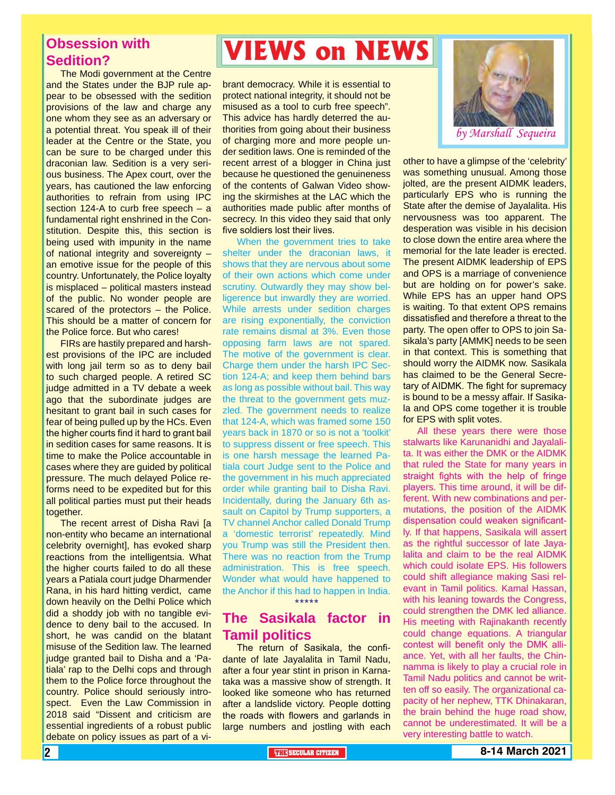# **Obsession with Sedition?**

The Modi government at the Centre and the States under the BJP rule appear to be obsessed with the sedition provisions of the law and charge any one whom they see as an adversary or a potential threat. You speak ill of their leader at the Centre or the State, you can be sure to be charged under this draconian law. Sedition is a very serious business. The Apex court, over the years, has cautioned the law enforcing authorities to refrain from using IPC section 124-A to curb free speech – a fundamental right enshrined in the Constitution. Despite this, this section is being used with impunity in the name of national integrity and sovereignty – an emotive issue for the people of this country. Unfortunately, the Police loyalty is misplaced – political masters instead of the public. No wonder people are scared of the protectors – the Police. This should be a matter of concern for the Police force. But who cares!

FIRs are hastily prepared and harshest provisions of the IPC are included with long jail term so as to deny bail to such charged people. A retired SC judge admitted in a TV debate a week ago that the subordinate judges are hesitant to grant bail in such cases for fear of being pulled up by the HCs. Even the higher courts find it hard to grant bail in sedition cases for same reasons. It is time to make the Police accountable in cases where they are guided by political pressure. The much delayed Police reforms need to be expedited but for this all political parties must put their heads together.

The recent arrest of Disha Ravi [a non-entity who became an international celebrity overnight], has evoked sharp reactions from the intelligentsia. What the higher courts failed to do all these years a Patiala court judge Dharmender Rana, in his hard hitting verdict, came down heavily on the Delhi Police which did a shoddy job with no tangible evidence to deny bail to the accused. In short, he was candid on the blatant misuse of the Sedition law. The learned judge granted bail to Disha and a 'Patiala' rap to the Delhi cops and through them to the Police force throughout the country. Police should seriously introspect. Even the Law Commission in 2018 said "Dissent and criticism are essential ingredients of a robust public debate on policy issues as part of a vi-

# **VIEWS on NEWS**

brant democracy. While it is essential to protect national integrity, it should not be misused as a tool to curb free speech". This advice has hardly deterred the authorities from going about their business of charging more and more people under sedition laws. One is reminded of the recent arrest of a blogger in China just because he questioned the genuineness of the contents of Galwan Video showing the skirmishes at the LAC which the authorities made public after months of secrecy. In this video they said that only five soldiers lost their lives.

When the government tries to take shelter under the draconian laws, it shows that they are nervous about some of their own actions which come under scrutiny. Outwardly they may show belligerence but inwardly they are worried. While arrests under sedition charges are rising exponentially, the conviction rate remains dismal at 3%. Even those opposing farm laws are not spared. The motive of the government is clear. Charge them under the harsh IPC Section 124-A; and keep them behind bars as long as possible without bail. This way the threat to the government gets muzzled. The government needs to realize that 124-A, which was framed some 150 years back in 1870 or so is not a 'toolkit' to suppress dissent or free speech. This is one harsh message the learned Patiala court Judge sent to the Police and the government in his much appreciated order while granting bail to Disha Ravi. Incidentally, during the January 6th assault on Capitol by Trump supporters, a TV channel Anchor called Donald Trump a 'domestic terrorist' repeatedly. Mind you Trump was still the President then. There was no reaction from the Trump administration. This is free speech. Wonder what would have happened to the Anchor if this had to happen in India. \*\*\*\*\*

# **The Sasikala factor in Tamil politics**

The return of Sasikala, the confidante of late Jayalalita in Tamil Nadu, after a four year stint in prison in Karnataka was a massive show of strength. It looked like someone who has returned after a landslide victory. People dotting the roads with flowers and garlands in large numbers and jostling with each



other to have a glimpse of the 'celebrity' was something unusual. Among those jolted, are the present AIDMK leaders, particularly EPS who is running the State after the demise of Jayalalita. His nervousness was too apparent. The desperation was visible in his decision to close down the entire area where the memorial for the late leader is erected. The present AIDMK leadership of EPS and OPS is a marriage of convenience but are holding on for power's sake. While EPS has an upper hand OPS is waiting. To that extent OPS remains dissatisfied and therefore a threat to the party. The open offer to OPS to join Sasikala's party [AMMK] needs to be seen in that context. This is something that should worry the AIDMK now. Sasikala has claimed to be the General Secretary of AIDMK. The fight for supremacy is bound to be a messy affair. If Sasikala and OPS come together it is trouble for EPS with split votes.

All these years there were those stalwarts like Karunanidhi and Jayalalita. It was either the DMK or the AIDMK that ruled the State for many years in straight fights with the help of fringe players. This time around, it will be different. With new combinations and permutations, the position of the AIDMK dispensation could weaken significantly. If that happens, Sasikala will assert as the rightful successor of late Jayalalita and claim to be the real AIDMK which could isolate EPS. His followers could shift allegiance making Sasi relevant in Tamil politics. Kamal Hassan, with his leaning towards the Congress, could strengthen the DMK led alliance. His meeting with Rajinakanth recently could change equations. A triangular contest will benefit only the DMK alliance. Yet, with all her faults, the Chinnamma is likely to play a crucial role in Tamil Nadu politics and cannot be written off so easily. The organizational capacity of her nephew, TTK Dhinakaran, the brain behind the huge road show, cannot be underestimated. It will be a very interesting battle to watch.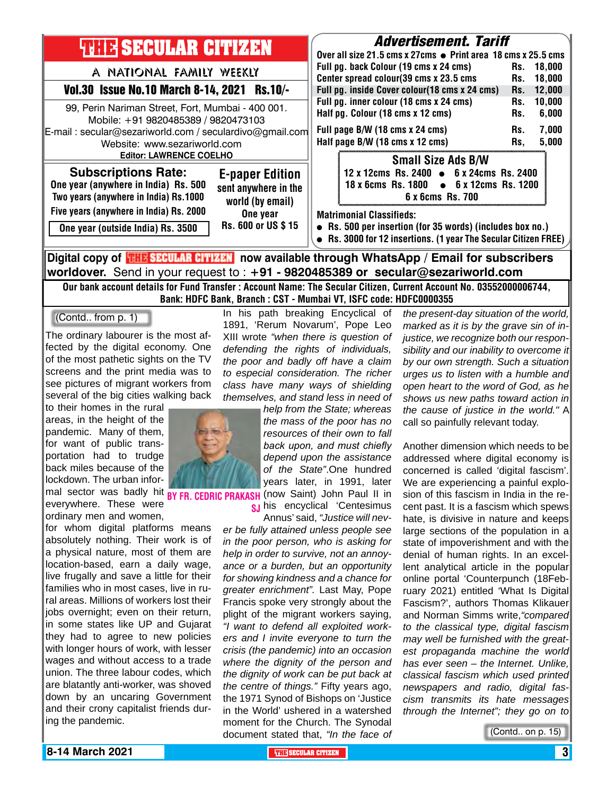

Our bank account details for Fund Transfer : Account Name: The Secular Citizen, Current Account No. 03552000006744, Bank: HDFC Bank, Branch : CST - Mumbai VT, ISFC code: HDFC0000355

(Contd.. from p. 1)

The ordinary labourer is the most affected by the digital economy. One of the most pathetic sights on the TV screens and the print media was to see pictures of migrant workers from several of the big cities walking back

to their homes in the rural areas, in the height of the pandemic. Many of them, for want of public transportation had to trudge back miles because of the lockdown. The urban inforeverywhere. These were ordinary men and women,

for whom digital platforms means absolutely nothing. Their work is of a physical nature, most of them are location-based, earn a daily wage, live frugally and save a little for their families who in most cases, live in rural areas. Millions of workers lost their jobs overnight; even on their return, in some states like UP and Gujarat they had to agree to new policies with longer hours of work, with lesser wages and without access to a trade union. The three labour codes, which are blatantly anti-worker, was shoved down by an uncaring Government and their crony capitalist friends during the pandemic.

In his path breaking Encyclical of 1891, 'Rerum Novarum', Pope Leo XIII wrote *"when there is question of defending the rights of individuals, the poor and badly off have a claim to especial consideration. The richer class have many ways of shielding themselves, and stand less in need of* 

mal sector was badly hit **BY FR. CEDRIC PRAKASH** (now Saint) John Paul II in *help from the State; whereas the mass of the poor has no resources of their own to fall back upon, and must chiefly depend upon the assistance of the State"*.One hundred years later, in 1991, later **sj** his encyclical 'Centesimus

Annus' said, *"Justice will never be fully attained unless people see in the poor person, who is asking for help in order to survive, not an annoyance or a burden, but an opportunity for showing kindness and a chance for greater enrichment".* Last May, Pope Francis spoke very strongly about the plight of the migrant workers saying, *"I want to defend all exploited workers and I invite everyone to turn the crisis (the pandemic) into an occasion where the dignity of the person and the dignity of work can be put back at the centre of things."* Fifty years ago, the 1971 Synod of Bishops on 'Justice in the World' ushered in a watershed moment for the Church. The Synodal document stated that, *"In the face of* 

*the present-day situation of the world, marked as it is by the grave sin of injustice, we recognize both our responsibility and our inability to overcome it by our own strength. Such a situation urges us to listen with a humble and open heart to the word of God, as he shows us new paths toward action in the cause of justice in the world."* A call so painfully relevant today.

Another dimension which needs to be addressed where digital economy is concerned is called 'digital fascism'. We are experiencing a painful explosion of this fascism in India in the recent past. It is a fascism which spews hate, is divisive in nature and keeps large sections of the population in a state of impoverishment and with the denial of human rights. In an excellent analytical article in the popular online portal 'Counterpunch (18February 2021) entitled 'What Is Digital Fascism?', authors Thomas Klikauer and Norman Simms write,*"compared to the classical type, digital fascism may well be furnished with the greatest propaganda machine the world has ever seen – the Internet. Unlike, classical fascism which used printed newspapers and radio, digital fascism transmits its hate messages through the Internet"; they go on to* 

(Contd.. on p. 15)

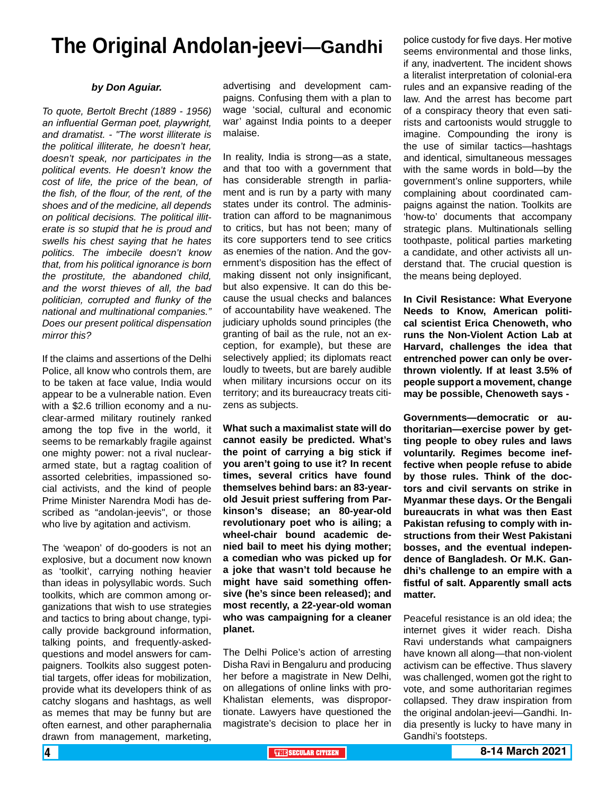# **The Original Andolan-jeevi—Gandhi**

### *by Don Aguiar.*

*To quote, Bertolt Brecht (1889 - 1956) an influential German poet, playwright, and dramatist. - "The worst illiterate is the political illiterate, he doesn't hear, doesn't speak, nor participates in the political events. He doesn't know the cost of life, the price of the bean, of the fish, of the flour, of the rent, of the shoes and of the medicine, all depends on political decisions. The political illiterate is so stupid that he is proud and swells his chest saying that he hates politics. The imbecile doesn't know that, from his political ignorance is born the prostitute, the abandoned child, and the worst thieves of all, the bad politician, corrupted and flunky of the national and multinational companies." Does our present political dispensation mirror this?*

If the claims and assertions of the Delhi Police, all know who controls them, are to be taken at face value, India would appear to be a vulnerable nation. Even with a \$2.6 trillion economy and a nuclear-armed military routinely ranked among the top five in the world, it seems to be remarkably fragile against one mighty power: not a rival nucleararmed state, but a ragtag coalition of assorted celebrities, impassioned social activists, and the kind of people Prime Minister Narendra Modi has described as "andolan-jeevis", or those who live by agitation and activism.

The 'weapon' of do-gooders is not an explosive, but a document now known as 'toolkit', carrying nothing heavier than ideas in polysyllabic words. Such toolkits, which are common among organizations that wish to use strategies and tactics to bring about change, typically provide background information, talking points, and frequently-askedquestions and model answers for campaigners. Toolkits also suggest potential targets, offer ideas for mobilization, provide what its developers think of as catchy slogans and hashtags, as well as memes that may be funny but are often earnest, and other paraphernalia drawn from management, marketing,

advertising and development campaigns. Confusing them with a plan to wage 'social, cultural and economic war' against India points to a deeper malaise.

In reality, India is strong—as a state, and that too with a government that has considerable strength in parliament and is run by a party with many states under its control. The administration can afford to be magnanimous to critics, but has not been; many of its core supporters tend to see critics as enemies of the nation. And the government's disposition has the effect of making dissent not only insignificant, but also expensive. It can do this because the usual checks and balances of accountability have weakened. The judiciary upholds sound principles (the granting of bail as the rule, not an exception, for example), but these are selectively applied; its diplomats react loudly to tweets, but are barely audible when military incursions occur on its territory; and its bureaucracy treats citizens as subjects.

**What such a maximalist state will do cannot easily be predicted. What's the point of carrying a big stick if you aren't going to use it? In recent times, several critics have found themselves behind bars: an 83-yearold Jesuit priest suffering from Parkinson's disease; an 80-year-old revolutionary poet who is ailing; a wheel-chair bound academic denied bail to meet his dying mother; a comedian who was picked up for a joke that wasn't told because he might have said something offensive (he's since been released); and most recently, a 22-year-old woman who was campaigning for a cleaner planet.**

The Delhi Police's action of arresting Disha Ravi in Bengaluru and producing her before a magistrate in New Delhi, on allegations of online links with pro-Khalistan elements, was disproportionate. Lawyers have questioned the magistrate's decision to place her in police custody for five days. Her motive seems environmental and those links, if any, inadvertent. The incident shows a literalist interpretation of colonial-era rules and an expansive reading of the law. And the arrest has become part of a conspiracy theory that even satirists and cartoonists would struggle to imagine. Compounding the irony is the use of similar tactics—hashtags and identical, simultaneous messages with the same words in bold—by the government's online supporters, while complaining about coordinated campaigns against the nation. Toolkits are 'how-to' documents that accompany strategic plans. Multinationals selling toothpaste, political parties marketing a candidate, and other activists all understand that. The crucial question is the means being deployed.

**In Civil Resistance: What Everyone Needs to Know, American political scientist Erica Chenoweth, who runs the Non-Violent Action Lab at Harvard, challenges the idea that entrenched power can only be overthrown violently. If at least 3.5% of people support a movement, change may be possible, Chenoweth says -**

**Governments—democratic or authoritarian—exercise power by getting people to obey rules and laws voluntarily. Regimes become ineffective when people refuse to abide by those rules. Think of the doctors and civil servants on strike in Myanmar these days. Or the Bengali bureaucrats in what was then East Pakistan refusing to comply with instructions from their West Pakistani bosses, and the eventual independence of Bangladesh. Or M.K. Gandhi's challenge to an empire with a fistful of salt. Apparently small acts matter.**

Peaceful resistance is an old idea; the internet gives it wider reach. Disha Ravi understands what campaigners have known all along—that non-violent activism can be effective. Thus slavery was challenged, women got the right to vote, and some authoritarian regimes collapsed. They draw inspiration from the original andolan-jeevi—Gandhi. India presently is lucky to have many in Gandhi's footsteps.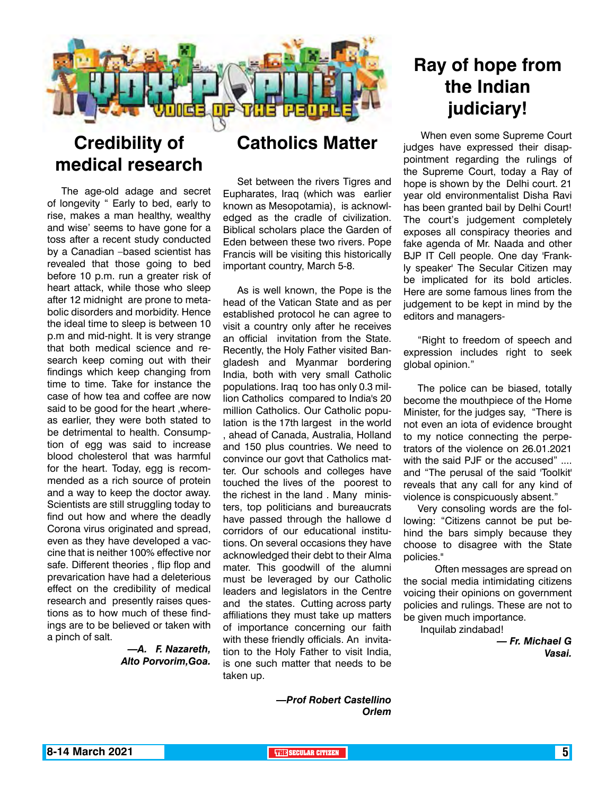

# **Credibility of medical research**

The age-old adage and secret of longevity " Early to bed, early to rise, makes a man healthy, wealthy and wise' seems to have gone for a toss after a recent study conducted by a Canadian –based scientist has revealed that those going to bed before 10 p.m. run a greater risk of heart attack, while those who sleep after 12 midnight are prone to metabolic disorders and morbidity. Hence the ideal time to sleep is between 10 p.m and mid-night. It is very strange that both medical science and research keep coming out with their findings which keep changing from time to time. Take for instance the case of how tea and coffee are now said to be good for the heart ,whereas earlier, they were both stated to be detrimental to health. Consumption of egg was said to increase blood cholesterol that was harmful for the heart. Today, egg is recommended as a rich source of protein and a way to keep the doctor away. Scientists are still struggling today to find out how and where the deadly Corona virus originated and spread, even as they have developed a vaccine that is neither 100% effective nor safe. Different theories , flip flop and prevarication have had a deleterious effect on the credibility of medical research and presently raises questions as to how much of these findings are to be believed or taken with a pinch of salt.

## *—A. F. Nazareth, Alto Porvorim,Goa.*

# **Catholics Matter**

Set between the rivers Tigres and Eupharates, Iraq (which was earlier known as Mesopotamia), is acknowledged as the cradle of civilization. Biblical scholars place the Garden of Eden between these two rivers. Pope Francis will be visiting this historically important country, March 5-8.

As is well known, the Pope is the head of the Vatican State and as per established protocol he can agree to visit a country only after he receives an official invitation from the State. Recently, the Holy Father visited Bangladesh and Myanmar bordering India, both with very small Catholic populations. Iraq too has only 0.3 million Catholics compared to India's 20 million Catholics. Our Catholic population is the 17th largest in the world , ahead of Canada, Australia, Holland and 150 plus countries. We need to convince our govt that Catholics matter. Our schools and colleges have touched the lives of the poorest to the richest in the land . Many ministers, top politicians and bureaucrats have passed through the hallowe d corridors of our educational institutions. On several occasions they have acknowledged their debt to their Alma mater. This goodwill of the alumni must be leveraged by our Catholic leaders and legislators in the Centre and the states. Cutting across party affiliations they must take up matters of importance concerning our faith with these friendly officials. An invitation to the Holy Father to visit India, is one such matter that needs to be taken up.

# **Ray of hope from the Indian judiciary!**

 When even some Supreme Court judges have expressed their disappointment regarding the rulings of the Supreme Court, today a Ray of hope is shown by the Delhi court. 21 year old environmentalist Disha Ravi has been granted bail by Delhi Court! The court's judgement completely exposes all conspiracy theories and fake agenda of Mr. Naada and other BJP IT Cell people. One day 'Frankly speaker' The Secular Citizen may be implicated for its bold articles. Here are some famous lines from the judgement to be kept in mind by the editors and managers-

"Right to freedom of speech and expression includes right to seek global opinion."

The police can be biased, totally become the mouthpiece of the Home Minister, for the judges say, "There is not even an iota of evidence brought to my notice connecting the perpetrators of the violence on 26.01.2021 with the said PJF or the accused" .... and "The perusal of the said 'Toolkit' reveals that any call for any kind of violence is conspicuously absent."

Very consoling words are the following: "Citizens cannot be put behind the bars simply because they choose to disagree with the State policies."

 Often messages are spread on the social media intimidating citizens voicing their opinions on government policies and rulings. These are not to be given much importance.

Inquilab zindabad!

*— Fr. Michael G Vasai.* 

*—Prof Robert Castellino Orlem*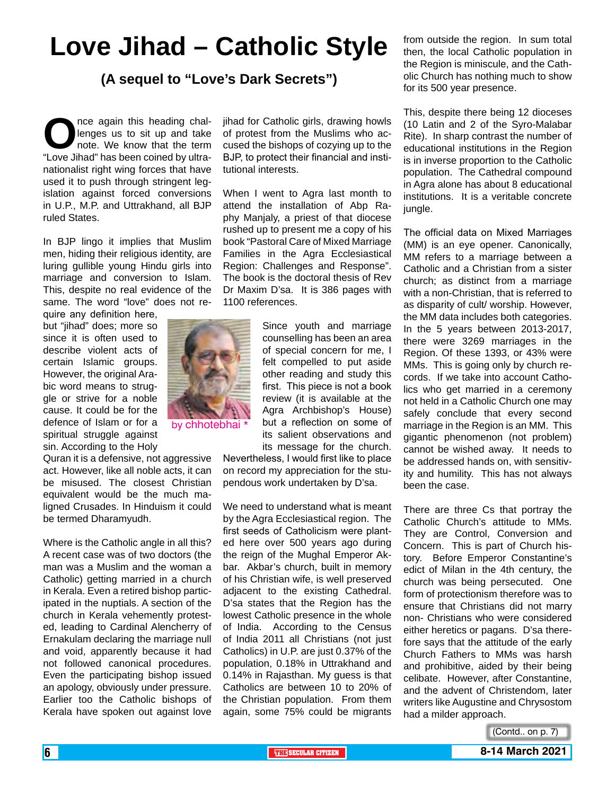# **Love Jihad – Catholic Style**

**(A sequel to "Love's Dark Secrets")**

**O**nce again this heading challenges us to sit up and take<br>
note. We know that the term<br>
"Love Jihad" has been coined by ultralenges us to sit up and take note. We know that the term nationalist right wing forces that have used it to push through stringent legislation against forced conversions in U.P., M.P. and Uttrakhand, all BJP ruled States.

In BJP lingo it implies that Muslim men, hiding their religious identity, are luring gullible young Hindu girls into marriage and conversion to Islam. This, despite no real evidence of the same. The word "love" does not re-

quire any definition here, but "jihad" does; more so since it is often used to describe violent acts of certain Islamic groups. However, the original Arabic word means to struggle or strive for a noble cause. It could be for the defence of Islam or for a spiritual struggle against sin. According to the Holy

Quran it is a defensive, not aggressive act. However, like all noble acts, it can be misused. The closest Christian equivalent would be the much maligned Crusades. In Hinduism it could be termed Dharamyudh.

Where is the Catholic angle in all this? A recent case was of two doctors (the man was a Muslim and the woman a Catholic) getting married in a church in Kerala. Even a retired bishop participated in the nuptials. A section of the church in Kerala vehemently protested, leading to Cardinal Alencherry of Ernakulam declaring the marriage null and void, apparently because it had not followed canonical procedures. Even the participating bishop issued an apology, obviously under pressure. Earlier too the Catholic bishops of Kerala have spoken out against love

jihad for Catholic girls, drawing howls of protest from the Muslims who accused the bishops of cozying up to the BJP, to protect their financial and institutional interests.

When I went to Agra last month to attend the installation of Abp Raphy Manjaly, a priest of that diocese rushed up to present me a copy of his book "Pastoral Care of Mixed Marriage Families in the Agra Ecclesiastical Region: Challenges and Response". The book is the doctoral thesis of Rev Dr Maxim D'sa. It is 386 pages with 1100 references.



Since youth and marriage counselling has been an area of special concern for me, I felt compelled to put aside other reading and study this first. This piece is not a book review (it is available at the Agra Archbishop's House) but a reflection on some of its salient observations and its message for the church.

Nevertheless, I would first like to place on record my appreciation for the stupendous work undertaken by D'sa.

We need to understand what is meant by the Agra Ecclesiastical region. The first seeds of Catholicism were planted here over 500 years ago during the reign of the Mughal Emperor Akbar. Akbar's church, built in memory of his Christian wife, is well preserved adjacent to the existing Cathedral. D'sa states that the Region has the lowest Catholic presence in the whole of India. According to the Census of India 2011 all Christians (not just Catholics) in U.P. are just 0.37% of the population, 0.18% in Uttrakhand and 0.14% in Rajasthan. My guess is that Catholics are between 10 to 20% of the Christian population. From them again, some 75% could be migrants

from outside the region. In sum total then, the local Catholic population in the Region is miniscule, and the Catholic Church has nothing much to show for its 500 year presence.

This, despite there being 12 dioceses (10 Latin and 2 of the Syro-Malabar Rite). In sharp contrast the number of educational institutions in the Region is in inverse proportion to the Catholic population. The Cathedral compound in Agra alone has about 8 educational institutions. It is a veritable concrete jungle.

The official data on Mixed Marriages (MM) is an eye opener. Canonically, MM refers to a marriage between a Catholic and a Christian from a sister church; as distinct from a marriage with a non-Christian, that is referred to as disparity of cult/ worship. However, the MM data includes both categories. In the 5 years between 2013-2017, there were 3269 marriages in the Region. Of these 1393, or 43% were MMs. This is going only by church records. If we take into account Catholics who get married in a ceremony not held in a Catholic Church one may safely conclude that every second marriage in the Region is an MM. This gigantic phenomenon (not problem) cannot be wished away. It needs to be addressed hands on, with sensitivity and humility. This has not always been the case.

There are three Cs that portray the Catholic Church's attitude to MMs. They are Control, Conversion and Concern. This is part of Church history. Before Emperor Constantine's edict of Milan in the 4th century, the church was being persecuted. One form of protectionism therefore was to ensure that Christians did not marry non- Christians who were considered either heretics or pagans. D'sa therefore says that the attitude of the early Church Fathers to MMs was harsh and prohibitive, aided by their being celibate. However, after Constantine, and the advent of Christendom, later writers like Augustine and Chrysostom had a milder approach.

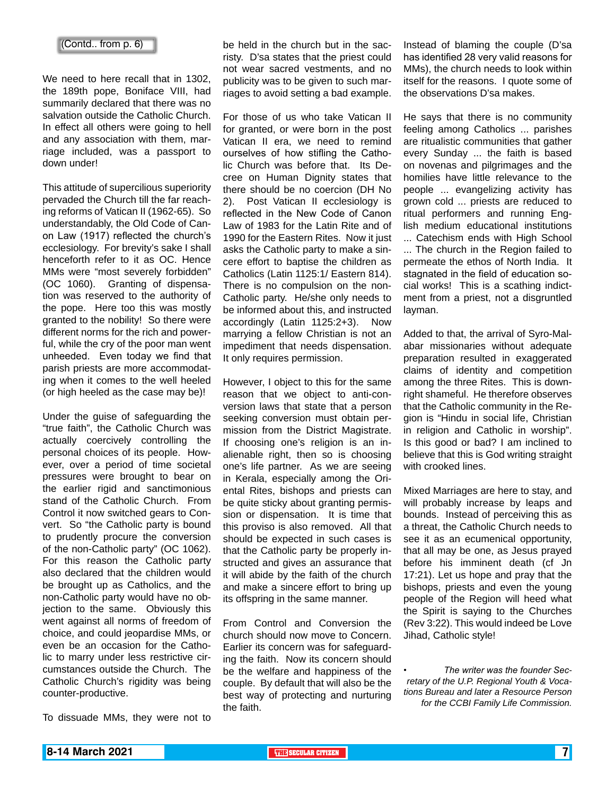We need to here recall that in 1302, the 189th pope, Boniface VIII, had summarily declared that there was no salvation outside the Catholic Church. In effect all others were going to hell and any association with them, marriage included, was a passport to down under!

This attitude of supercilious superiority pervaded the Church till the far reaching reforms of Vatican II (1962-65). So understandably, the Old Code of Canon Law (1917) reflected the church's ecclesiology. For brevity's sake I shall henceforth refer to it as OC. Hence MMs were "most severely forbidden" (OC 1060). Granting of dispensation was reserved to the authority of the pope. Here too this was mostly granted to the nobility! So there were different norms for the rich and powerful, while the cry of the poor man went unheeded. Even today we find that parish priests are more accommodating when it comes to the well heeled (or high heeled as the case may be)!

Under the guise of safeguarding the "true faith", the Catholic Church was actually coercively controlling the personal choices of its people. However, over a period of time societal pressures were brought to bear on the earlier rigid and sanctimonious stand of the Catholic Church. From Control it now switched gears to Convert. So "the Catholic party is bound to prudently procure the conversion of the non-Catholic party" (OC 1062). For this reason the Catholic party also declared that the children would be brought up as Catholics, and the non-Catholic party would have no objection to the same. Obviously this went against all norms of freedom of choice, and could jeopardise MMs, or even be an occasion for the Catholic to marry under less restrictive circumstances outside the Church. The Catholic Church's rigidity was being counter-productive.

To dissuade MMs, they were not to

be held in the church but in the sacristy. D'sa states that the priest could not wear sacred vestments, and no publicity was to be given to such marriages to avoid setting a bad example.

For those of us who take Vatican II for granted, or were born in the post Vatican II era, we need to remind ourselves of how stifling the Catholic Church was before that. Its Decree on Human Dignity states that there should be no coercion (DH No 2). Post Vatican II ecclesiology is reflected in the New Code of Canon Law of 1983 for the Latin Rite and of 1990 for the Eastern Rites. Now it just asks the Catholic party to make a sincere effort to baptise the children as Catholics (Latin 1125:1/ Eastern 814). There is no compulsion on the non-Catholic party. He/she only needs to be informed about this, and instructed accordingly (Latin 1125:2+3). Now marrying a fellow Christian is not an impediment that needs dispensation. It only requires permission.

However, I object to this for the same reason that we object to anti-conversion laws that state that a person seeking conversion must obtain permission from the District Magistrate. If choosing one's religion is an inalienable right, then so is choosing one's life partner. As we are seeing in Kerala, especially among the Oriental Rites, bishops and priests can be quite sticky about granting permission or dispensation. It is time that this proviso is also removed. All that should be expected in such cases is that the Catholic party be properly instructed and gives an assurance that it will abide by the faith of the church and make a sincere effort to bring up its offspring in the same manner.

From Control and Conversion the church should now move to Concern. Earlier its concern was for safeguarding the faith. Now its concern should be the welfare and happiness of the couple. By default that will also be the best way of protecting and nurturing the faith.

Instead of blaming the couple (D'sa has identified 28 very valid reasons for MMs), the church needs to look within itself for the reasons. I quote some of the observations D'sa makes.

He says that there is no community feeling among Catholics ... parishes are ritualistic communities that gather every Sunday ... the faith is based on novenas and pilgrimages and the homilies have little relevance to the people ... evangelizing activity has grown cold ... priests are reduced to ritual performers and running English medium educational institutions ... Catechism ends with High School ... The church in the Region failed to permeate the ethos of North India. It stagnated in the field of education social works! This is a scathing indictment from a priest, not a disgruntled layman.

Added to that, the arrival of Syro-Malabar missionaries without adequate preparation resulted in exaggerated claims of identity and competition among the three Rites. This is downright shameful. He therefore observes that the Catholic community in the Region is "Hindu in social life, Christian in religion and Catholic in worship". Is this good or bad? I am inclined to believe that this is God writing straight with crooked lines.

Mixed Marriages are here to stay, and will probably increase by leaps and bounds. Instead of perceiving this as a threat, the Catholic Church needs to see it as an ecumenical opportunity, that all may be one, as Jesus prayed before his imminent death (cf Jn 17:21). Let us hope and pray that the bishops, priests and even the young people of the Region will heed what the Spirit is saying to the Churches (Rev 3:22). This would indeed be Love Jihad, Catholic style!

*• The writer was the founder Secretary of the U.P. Regional Youth & Vocations Bureau and later a Resource Person for the CCBI Family Life Commission.*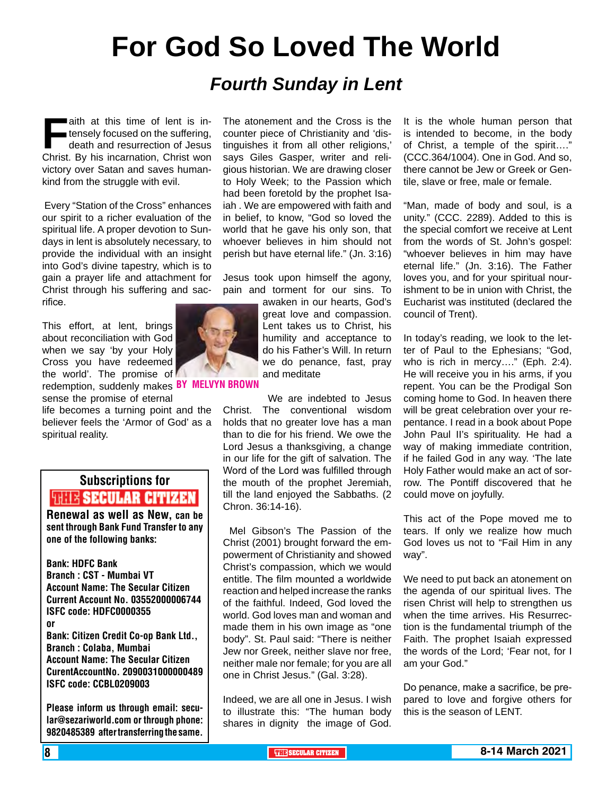# **For God So Loved The World**

# *Fourth Sunday in Lent*

**Faith at this time of lent is in-<br>tensely focused on the suffering,<br>death and resurrection of Jesus<br>Christ. By his incarnation. Christ won** tensely focused on the suffering, death and resurrection of Jesus Christ. By his incarnation, Christ won victory over Satan and saves humankind from the struggle with evil.

 Every "Station of the Cross" enhances our spirit to a richer evaluation of the spiritual life. A proper devotion to Sundays in lent is absolutely necessary, to provide the individual with an insight into God's divine tapestry, which is to gain a prayer life and attachment for Christ through his suffering and sacrifice.

This effort, at lent, brings about reconciliation with God when we say 'by your Holy Cross you have redeemed the world'. The promise of redemption, suddenly makes BY MELVYN BR sense the promise of eternal

life becomes a turning point and the believer feels the 'Armor of God' as a spiritual reality.

# Subscriptions for **THIT'S SECULAR CITIZEN**<br>Renewal as well as New, can be

sent through Bank Fund Transfer to any one of the following banks:

Bank: HDFC Bank Branch : CST - Mumbai VT Account Name: The Secular Citizen Current Account No. 03552000006744 ISFC code: HDFC0000355 or Bank: Citizen Credit Co-op Bank Ltd., Branch : Colaba, Mumbai Account Name: The Secular Citizen CurentAccountNo. 2090031000000489 ISFC code: CCBL0209003

Please inform us through email: secular@sezariworld.com or through phone: 9820485389 after transferring the same. The atonement and the Cross is the counter piece of Christianity and 'distinguishes it from all other religions,' says Giles Gasper, writer and religious historian. We are drawing closer to Holy Week; to the Passion which had been foretold by the prophet Isaiah . We are empowered with faith and in belief, to know, "God so loved the world that he gave his only son, that whoever believes in him should not perish but have eternal life." (Jn. 3:16)

Jesus took upon himself the agony, pain and torment for our sins. To

> awaken in our hearts, God's great love and compassion. Lent takes us to Christ, his humility and acceptance to do his Father's Will. In return we do penance, fast, pray and meditate

 We are indebted to Jesus Christ. The conventional wisdom holds that no greater love has a man than to die for his friend. We owe the Lord Jesus a thanksgiving, a change in our life for the gift of salvation. The Word of the Lord was fulfilled through the mouth of the prophet Jeremiah, till the land enjoyed the Sabbaths. (2 Chron. 36:14-16).

 Mel Gibson's The Passion of the Christ (2001) brought forward the empowerment of Christianity and showed Christ's compassion, which we would entitle. The film mounted a worldwide reaction and helped increase the ranks of the faithful. Indeed, God loved the world. God loves man and woman and made them in his own image as "one body". St. Paul said: "There is neither Jew nor Greek, neither slave nor free, neither male nor female; for you are all one in Christ Jesus." (Gal. 3:28).

Indeed, we are all one in Jesus. I wish to illustrate this: "The human body shares in dignity the image of God. It is the whole human person that is intended to become, in the body of Christ, a temple of the spirit…." (CCC.364/1004). One in God. And so, there cannot be Jew or Greek or Gentile, slave or free, male or female.

"Man, made of body and soul, is a unity." (CCC. 2289). Added to this is the special comfort we receive at Lent from the words of St. John's gospel: "whoever believes in him may have eternal life." (Jn. 3:16). The Father loves you, and for your spiritual nourishment to be in union with Christ, the Eucharist was instituted (declared the council of Trent).

In today's reading, we look to the letter of Paul to the Ephesians; "God, who is rich in mercy…." (Eph. 2:4). He will receive you in his arms, if you repent. You can be the Prodigal Son coming home to God. In heaven there will be great celebration over your repentance. I read in a book about Pope John Paul II's spirituality. He had a way of making immediate contrition, if he failed God in any way. 'The late Holy Father would make an act of sorrow. The Pontiff discovered that he could move on joyfully.

This act of the Pope moved me to tears. If only we realize how much God loves us not to "Fail Him in any way".

We need to put back an atonement on the agenda of our spiritual lives. The risen Christ will help to strengthen us when the time arrives. His Resurrection is the fundamental triumph of the Faith. The prophet Isaiah expressed the words of the Lord; 'Fear not, for I am your God."

Do penance, make a sacrifice, be prepared to love and forgive others for this is the season of LENT.

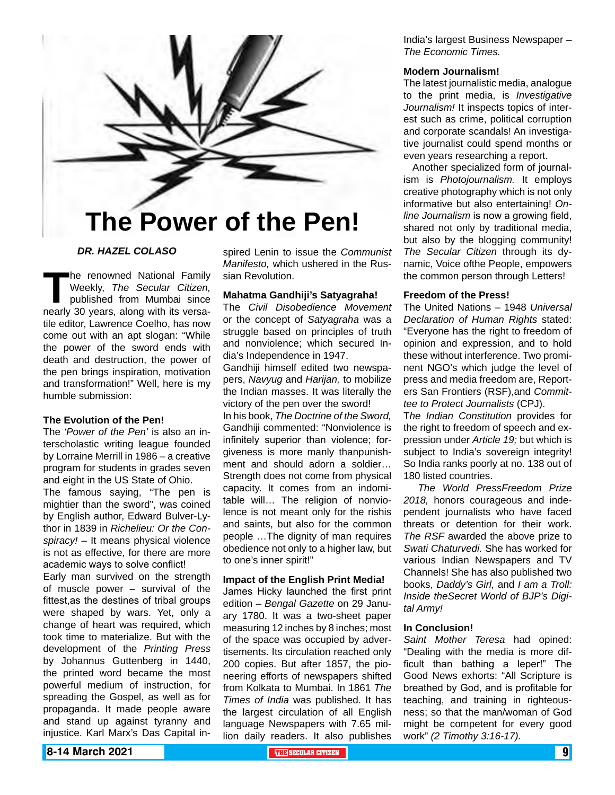

# **The Power of the Pen!**

## *DR. HAZEL COLASO*

The renowned National Family<br>Weekly, *The Secular Citizen,*<br>published from Mumbai since<br>nearly 30 years, along with its versa-Weekly, *The Secular Citizen,* published from Mumbai since nearly 30 years, along with its versatile editor, Lawrence Coelho, has now come out with an apt slogan: "While the power of the sword ends with death and destruction, the power of the pen brings inspiration, motivation and transformation!" Well, here is my humble submission:

## **The Evolution of the Pen!**

The *'Power of the Pen'* is also an interscholastic writing league founded by Lorraine Merrill in 1986 – a creative program for students in grades seven and eight in the US State of Ohio. The famous saying, "The pen is mightier than the sword", was coined by English author, Edward Bulver-Lythor in 1839 in *Richelieu: Or the Conspiracy!* – It means physical violence is not as effective, for there are more academic ways to solve conflict!

Early man survived on the strength of muscle power – survival of the fittest,as the destines of tribal groups were shaped by wars. Yet, only a change of heart was required, which took time to materialize. But with the development of the *Printing Press* by Johannus Guttenberg in 1440, the printed word became the most powerful medium of instruction, for spreading the Gospel, as well as for propaganda. It made people aware and stand up against tyranny and injustice. Karl Marx's Das Capital in-

spired Lenin to issue the *Communist Manifesto,* which ushered in the Russian Revolution.

## **Mahatma Gandhiji's Satyagraha!**

The *Civil Disobedience Movement* or the concept of *Satyagraha* was a struggle based on principles of truth and nonviolence; which secured India's Independence in 1947.

Gandhiji himself edited two newspapers, *Navyug* and *Harijan,* to mobilize the Indian masses. It was literally the victory of the pen over the sword!

In his book, *The Doctrine of the Sword,*  Gandhiji commented: "Nonviolence is infinitely superior than violence; forgiveness is more manly thanpunishment and should adorn a soldier… Strength does not come from physical capacity. It comes from an indomitable will… The religion of nonviolence is not meant only for the rishis and saints, but also for the common people …The dignity of man requires obedience not only to a higher law, but to one's inner spirit!"

### **Impact of the English Print Media!**

James Hicky launched the first print edition – *Bengal Gazette* on 29 January 1780. It was a two-sheet paper measuring 12 inches by 8 inches; most of the space was occupied by advertisements. Its circulation reached only 200 copies. But after 1857, the pioneering efforts of newspapers shifted from Kolkata to Mumbai. In 1861 *The Times of India* was published. It has the largest circulation of all English language Newspapers with 7.65 million daily readers. It also publishes

India's largest Business Newspaper – *The Economic Times.*

### **Modern Journalism!**

The latest journalistic media, analogue to the print media, is *Investigative Journalism!* It inspects topics of interest such as crime, political corruption and corporate scandals! An investigative journalist could spend months or even years researching a report.

 Another specialized form of journalism is *Photojournalism.* It employs creative photography which is not only informative but also entertaining! *Online Journalism* is now a growing field, shared not only by traditional media, but also by the blogging community! *The Secular Citizen* through its dynamic, Voice ofthe People, empowers the common person through Letters!

### **Freedom of the Press!**

The United Nations – 1948 *Universal Declaration of Human Rights* stated: "Everyone has the right to freedom of opinion and expression, and to hold these without interference. Two prominent NGO's which judge the level of press and media freedom are, Reporters San Frontiers (RSF),and *Committee to Protect Journalists* (CPJ).

T*he Indian Constitution* provides for the right to freedom of speech and expression under *Article 19;* but which is subject to India's sovereign integrity! So India ranks poorly at no. 138 out of 180 listed countries.

 *The World PressFreedom Prize 2018,* honors courageous and independent journalists who have faced threats or detention for their work. *The RSF* awarded the above prize to *Swati Chaturvedi.* She has worked for various Indian Newspapers and TV Channels! She has also published two books, *Daddy's Girl,* and *I am a Troll: Inside theSecret World of BJP's Digital Army!*

## **In Conclusion!**

*Saint Mother Teresa* had opined: "Dealing with the media is more difficult than bathing a leper!" The Good News exhorts: "All Scripture is breathed by God, and is profitable for teaching, and training in righteousness; so that the man/woman of God might be competent for every good work" *(2 Timothy 3:16-17).*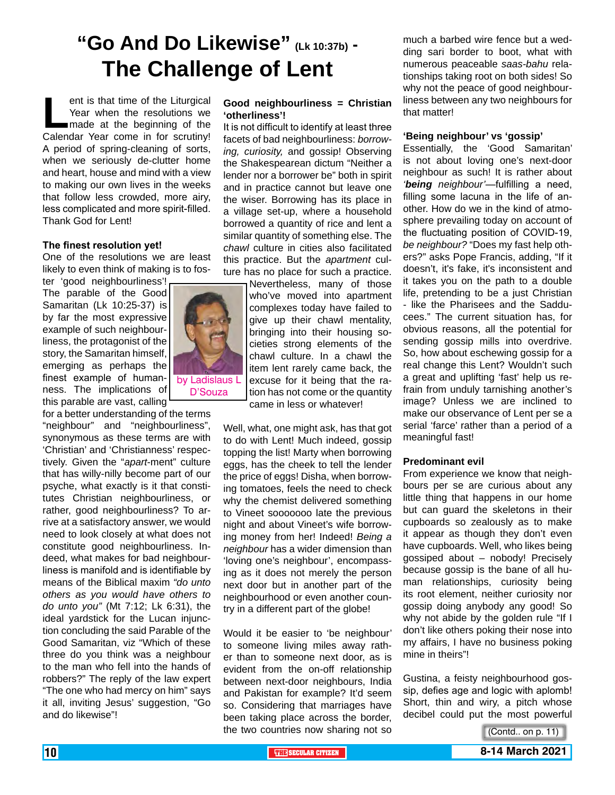# **"Go And Do Likewise" (Lk 10:37b) - The Challenge of Lent**

ent is that time of the Liturgical<br>
Year when the resolutions we<br>
made at the beginning of the<br>
Calendar Year come in for scrutiny! Year when the resolutions we made at the beginning of the A period of spring-cleaning of sorts, when we seriously de-clutter home and heart, house and mind with a view to making our own lives in the weeks that follow less crowded, more airy, less complicated and more spirit-filled. Thank God for Lent!

## **The finest resolution yet!**

One of the resolutions we are least likely to even think of making is to fos-

ter 'good neighbourliness'! The parable of the Good Samaritan (Lk 10:25-37) is by far the most expressive example of such neighbourliness, the protagonist of the story, the Samaritan himself, emerging as perhaps the finest example of human- by Ladislaus L ness. The implications of this parable are vast, calling

for a better understanding of the terms "neighbour" and "neighbourliness", synonymous as these terms are with 'Christian' and 'Christianness' respectively. Given the "*apart*-ment" culture that has willy-nilly become part of our psyche, what exactly is it that constitutes Christian neighbourliness, or rather, good neighbourliness? To arrive at a satisfactory answer, we would need to look closely at what does not constitute good neighbourliness. Indeed, what makes for bad neighbourliness is manifold and is identifiable by means of the Biblical maxim *"do unto others as you would have others to do unto you"* (Mt 7:12; Lk 6:31), the ideal yardstick for the Lucan injunction concluding the said Parable of the Good Samaritan, viz "Which of these three do you think was a neighbour to the man who fell into the hands of robbers?" The reply of the law expert "The one who had mercy on him" says it all, inviting Jesus' suggestion, "Go and do likewise"!



It is not difficult to identify at least three facets of bad neighbourliness: *borrowing, curiosity,* and gossip! Observing the Shakespearean dictum "Neither a lender nor a borrower be" both in spirit and in practice cannot but leave one the wiser. Borrowing has its place in a village set-up, where a household borrowed a quantity of rice and lent a similar quantity of something else. The *chawl* culture in cities also facilitated this practice. But the *apartment* culture has no place for such a practice.

> Nevertheless, many of those who've moved into apartment complexes today have failed to give up their chawl mentality, bringing into their housing societies strong elements of the chawl culture. In a chawl the item lent rarely came back, the excuse for it being that the ration has not come or the quantity came in less or whatever!

Well, what, one might ask, has that got to do with Lent! Much indeed, gossip topping the list! Marty when borrowing eggs, has the cheek to tell the lender the price of eggs! Disha, when borrowing tomatoes, feels the need to check why the chemist delivered something to Vineet sooooooo late the previous night and about Vineet's wife borrowing money from her! Indeed! *Being a neighbour* has a wider dimension than 'loving one's neighbour', encompassing as it does not merely the person next door but in another part of the neighbourhood or even another country in a different part of the globe!

Would it be easier to 'be neighbour' to someone living miles away rather than to someone next door, as is evident from the on-off relationship between next-door neighbours, India and Pakistan for example? It'd seem so. Considering that marriages have been taking place across the border, the two countries now sharing not so much a barbed wire fence but a wedding sari border to boot, what with numerous peaceable *saas-bahu* relationships taking root on both sides! So why not the peace of good neighbourliness between any two neighbours for that matter!

#### **'Being neighbour' vs 'gossip'**

Essentially, the 'Good Samaritan' is not about loving one's next-door neighbour as such! It is rather about *'being neighbour'*—fulfilling a need, filling some lacuna in the life of another. How do we in the kind of atmosphere prevailing today on account of the fluctuating position of COVID-19, *be neighbour?* "Does my fast help others?" asks Pope Francis, adding, "If it doesn't, it's fake, it's inconsistent and it takes you on the path to a double life, pretending to be a just Christian - like the Pharisees and the Sadducees." The current situation has, for obvious reasons, all the potential for sending gossip mills into overdrive. So, how about eschewing gossip for a real change this Lent? Wouldn't such a great and uplifting 'fast' help us refrain from unduly tarnishing another's image? Unless we are inclined to make our observance of Lent per se a serial 'farce' rather than a period of a meaningful fast!

#### **Predominant evil**

From experience we know that neighbours per se are curious about any little thing that happens in our home but can guard the skeletons in their cupboards so zealously as to make it appear as though they don't even have cupboards. Well, who likes being gossiped about – nobody! Precisely because gossip is the bane of all human relationships, curiosity being its root element, neither curiosity nor gossip doing anybody any good! So why not abide by the golden rule "If I don't like others poking their nose into my affairs, I have no business poking mine in theirs"!

Gustina, a feisty neighbourhood gossip, defies age and logic with aplomb! Short, thin and wiry, a pitch whose decibel could put the most powerful

(Contd.. on p. 11)



D'Souza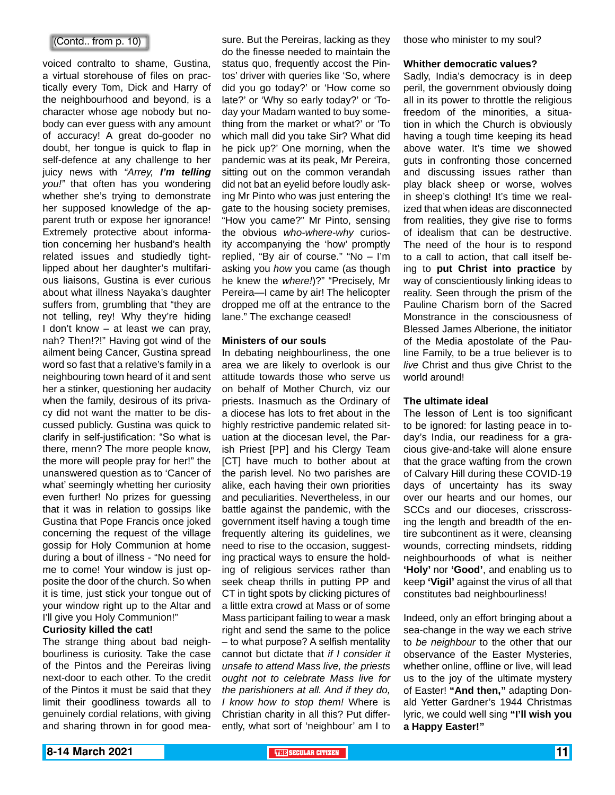## (Contd.. from p. 10)

voiced contralto to shame, Gustina, a virtual storehouse of files on practically every Tom, Dick and Harry of the neighbourhood and beyond, is a character whose age nobody but nobody can ever guess with any amount of accuracy! A great do-gooder no doubt, her tongue is quick to flap in self-defence at any challenge to her juicy news with *"Arrey, I'm telling you!"* that often has you wondering whether she's trying to demonstrate her supposed knowledge of the apparent truth or expose her ignorance! Extremely protective about information concerning her husband's health related issues and studiedly tightlipped about her daughter's multifarious liaisons, Gustina is ever curious about what illness Nayaka's daughter suffers from, grumbling that "they are not telling, rey! Why they're hiding I don't know – at least we can pray, nah? Then!?!" Having got wind of the ailment being Cancer, Gustina spread word so fast that a relative's family in a neighbouring town heard of it and sent her a stinker, questioning her audacity when the family, desirous of its privacy did not want the matter to be discussed publicly. Gustina was quick to clarify in self-justification: "So what is there, menn? The more people know, the more will people pray for her!" the unanswered question as to 'Cancer of what' seemingly whetting her curiosity even further! No prizes for guessing that it was in relation to gossips like Gustina that Pope Francis once joked concerning the request of the village gossip for Holy Communion at home during a bout of illness - "No need for me to come! Your window is just opposite the door of the church. So when it is time, just stick your tongue out of your window right up to the Altar and I'll give you Holy Communion!"

## **Curiosity killed the cat!**

The strange thing about bad neighbourliness is curiosity. Take the case of the Pintos and the Pereiras living next-door to each other. To the credit of the Pintos it must be said that they limit their goodliness towards all to genuinely cordial relations, with giving and sharing thrown in for good measure. But the Pereiras, lacking as they do the finesse needed to maintain the status quo, frequently accost the Pintos' driver with queries like 'So, where did you go today?' or 'How come so late?' or 'Why so early today?' or 'Today your Madam wanted to buy something from the market or what?' or 'To which mall did you take Sir? What did he pick up?' One morning, when the pandemic was at its peak, Mr Pereira, sitting out on the common verandah did not bat an eyelid before loudly asking Mr Pinto who was just entering the gate to the housing society premises, "How you came?" Mr Pinto, sensing the obvious *who-where-why* curiosity accompanying the 'how' promptly replied, "By air of course." "No – I'm asking you *how* you came (as though he knew the *where!*)?" "Precisely, Mr Pereira—I came by air! The helicopter dropped me off at the entrance to the lane." The exchange ceased!

#### **Ministers of our souls**

In debating neighbourliness, the one area we are likely to overlook is our attitude towards those who serve us on behalf of Mother Church, viz our priests. Inasmuch as the Ordinary of a diocese has lots to fret about in the highly restrictive pandemic related situation at the diocesan level, the Parish Priest [PP] and his Clergy Team [CT] have much to bother about at the parish level. No two parishes are alike, each having their own priorities and peculiarities. Nevertheless, in our battle against the pandemic, with the government itself having a tough time frequently altering its guidelines, we need to rise to the occasion, suggesting practical ways to ensure the holding of religious services rather than seek cheap thrills in putting PP and CT in tight spots by clicking pictures of a little extra crowd at Mass or of some Mass participant failing to wear a mask right and send the same to the police – to what purpose? A selfish mentality cannot but dictate that *if I consider it unsafe to attend Mass live, the priests ought not to celebrate Mass live for the parishioners at all. And if they do, I know how to stop them!* Where is Christian charity in all this? Put differently, what sort of 'neighbour' am I to

those who minister to my soul?

#### **Whither democratic values?**

Sadly, India's democracy is in deep peril, the government obviously doing all in its power to throttle the religious freedom of the minorities, a situation in which the Church is obviously having a tough time keeping its head above water. It's time we showed guts in confronting those concerned and discussing issues rather than play black sheep or worse, wolves in sheep's clothing! It's time we realized that when ideas are disconnected from realities, they give rise to forms of idealism that can be destructive. The need of the hour is to respond to a call to action, that call itself being to **put Christ into practice** by way of conscientiously linking ideas to reality. Seen through the prism of the Pauline Charism born of the Sacred Monstrance in the consciousness of Blessed James Alberione, the initiator of the Media apostolate of the Pauline Family, to be a true believer is to *live* Christ and thus give Christ to the world around!

#### **The ultimate ideal**

The lesson of Lent is too significant to be ignored: for lasting peace in today's India, our readiness for a gracious give-and-take will alone ensure that the grace wafting from the crown of Calvary Hill during these COVID-19 days of uncertainty has its sway over our hearts and our homes, our SCCs and our dioceses, crisscrossing the length and breadth of the entire subcontinent as it were, cleansing wounds, correcting mindsets, ridding neighbourhoods of what is neither **'Holy'** nor **'Good'**, and enabling us to keep **'Vigil'** against the virus of all that constitutes bad neighbourliness!

Indeed, only an effort bringing about a sea-change in the way we each strive to *be neighbour* to the other that our observance of the Easter Mysteries, whether online, offline or live, will lead us to the joy of the ultimate mystery of Easter! **"And then,"** adapting Donald Yetter Gardner's 1944 Christmas lyric, we could well sing **"I'll wish you a Happy Easter!"**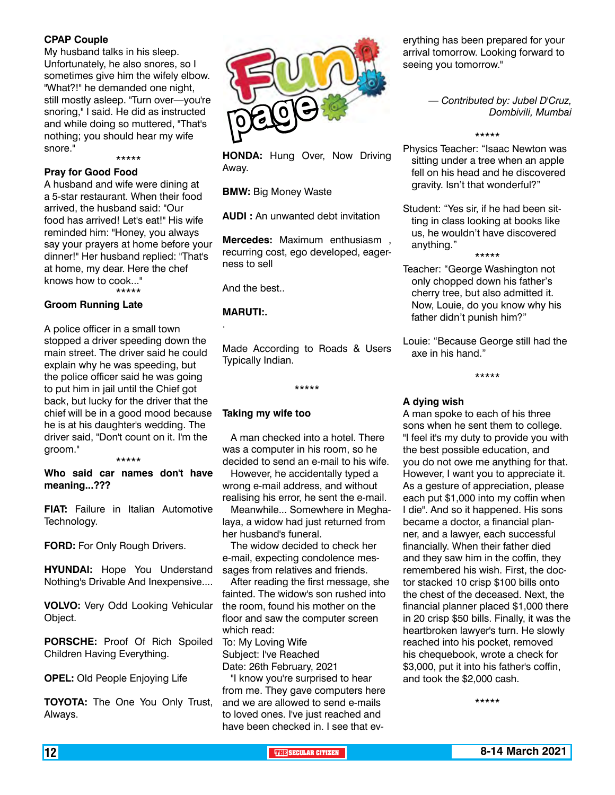## **CPAP Couple**

My husband talks in his sleep. Unfortunately, he also snores, so I sometimes give him the wifely elbow. "What?!" he demanded one night, still mostly asleep. "Turn over—you're snoring," I said. He did as instructed and while doing so muttered, "That's nothing; you should hear my wife snore."

\*\*\*\*\*

# **Pray for Good Food**

A husband and wife were dining at a 5-star restaurant. When their food arrived, the husband said: "Our food has arrived! Let's eat!" His wife reminded him: "Honey, you always say your prayers at home before your dinner!" Her husband replied: "That's at home, my dear. Here the chef knows how to cook..."

\*\*\*\*\*

## **Groom Running Late**

A police officer in a small town stopped a driver speeding down the main street. The driver said he could explain why he was speeding, but the police officer said he was going to put him in jail until the Chief got back, but lucky for the driver that the chief will be in a good mood because he is at his daughter's wedding. The driver said, "Don't count on it. I'm the groom."

### \*\*\*\*\* **Who said car names don't have meaning...???**

**FIAT:** Failure in Italian Automotive Technology.

**FORD:** For Only Rough Drivers.

**HYUNDAI:** Hope You Understand Nothing's Drivable And Inexpensive....

**VOLVO:** Very Odd Looking Vehicular Object.

**PORSCHE:** Proof Of Rich Spoiled Children Having Everything.

**OPEL:** Old People Enjoying Life

**TOYOTA:** The One You Only Trust, Always.



**HONDA:** Hung Over, Now Driving Away.

**BMW: Big Money Waste** 

**AUDI :** An unwanted debt invitation

**Mercedes:** Maximum enthusiasm , recurring cost, ego developed, eagerness to sell

And the best..

# **MARUTI:.**

.

Made According to Roads & Users Typically Indian.

\*\*\*\*\*

## **Taking my wife too**

 A man checked into a hotel. There was a computer in his room, so he decided to send an e-mail to his wife.

 However, he accidentally typed a wrong e-mail address, and without realising his error, he sent the e-mail.

 Meanwhile... Somewhere in Meghalaya, a widow had just returned from her husband's funeral.

 The widow decided to check her e-mail, expecting condolence messages from relatives and friends.

 After reading the first message, she fainted. The widow's son rushed into the room, found his mother on the floor and saw the computer screen which read:

To: My Loving Wife Subject: I've Reached Date: 26th February, 2021

 "I know you're surprised to hear from me. They gave computers here and we are allowed to send e-mails to loved ones. I've just reached and have been checked in. I see that ev-

erything has been prepared for your arrival tomorrow. Looking forward to seeing you tomorrow."

> *— Contributed by: Jubel D'Cruz, Dombivili, Mumbai*

#### \*\*\*\*\*

Physics Teacher: "Isaac Newton was sitting under a tree when an apple fell on his head and he discovered gravity. Isn't that wonderful?"

Student: "Yes sir, if he had been sitting in class looking at books like us, he wouldn't have discovered anything." \*\*\*\*\*

- Teacher: "George Washington not only chopped down his father's cherry tree, but also admitted it. Now, Louie, do you know why his father didn't punish him?"
- Louie: "Because George still had the axe in his hand."

# \*\*\*\*\*

## **A dying wish**

A man spoke to each of his three sons when he sent them to college. "I feel it's my duty to provide you with the best possible education, and you do not owe me anything for that. However, I want you to appreciate it. As a gesture of appreciation, please each put \$1,000 into my coffin when I die". And so it happened. His sons became a doctor, a financial planner, and a lawyer, each successful financially. When their father died and they saw him in the coffin, they remembered his wish. First, the doctor stacked 10 crisp \$100 bills onto the chest of the deceased. Next, the financial planner placed \$1,000 there in 20 crisp \$50 bills. Finally, it was the heartbroken lawyer's turn. He slowly reached into his pocket, removed his chequebook, wrote a check for \$3,000, put it into his father's coffin, and took the \$2,000 cash.

\*\*\*\*\*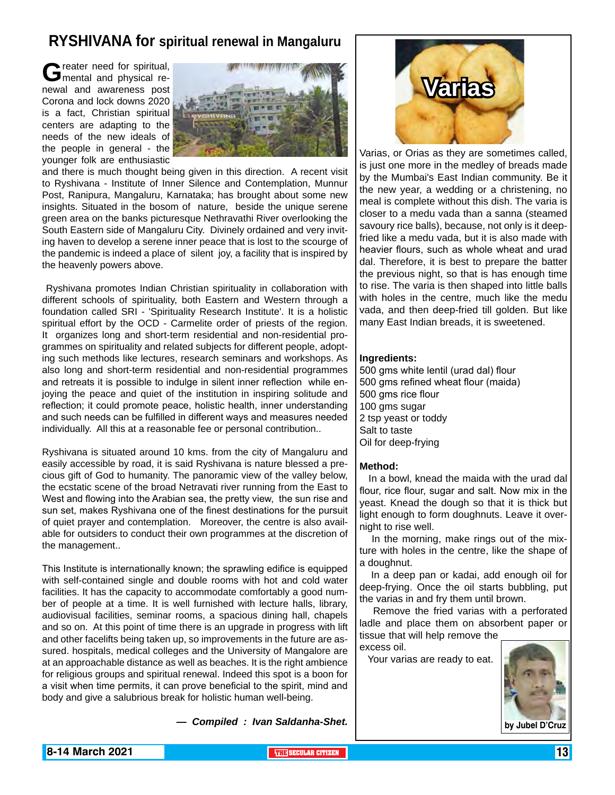# **RYSHIVANA for spiritual renewal in Mangaluru**

Greater need for spiritual,<br>
mental and physical renewal and awareness post Corona and lock downs 2020 is a fact, Christian spiritual centers are adapting to the needs of the new ideals of the people in general - the younger folk are enthusiastic



and there is much thought being given in this direction. A recent visit to Ryshivana - Institute of Inner Silence and Contemplation, Munnur Post, Ranipura, Mangaluru, Karnataka; has brought about some new insights. Situated in the bosom of nature, beside the unique serene green area on the banks picturesque Nethravathi River overlooking the South Eastern side of Mangaluru City. Divinely ordained and very inviting haven to develop a serene inner peace that is lost to the scourge of the pandemic is indeed a place of silent joy, a facility that is inspired by the heavenly powers above.

 Ryshivana promotes Indian Christian spirituality in collaboration with different schools of spirituality, both Eastern and Western through a foundation called SRI - 'Spirituality Research Institute'. It is a holistic spiritual effort by the OCD - Carmelite order of priests of the region. It organizes long and short-term residential and non-residential programmes on spirituality and related subjects for different people, adopting such methods like lectures, research seminars and workshops. As also long and short-term residential and non-residential programmes and retreats it is possible to indulge in silent inner reflection while enjoying the peace and quiet of the institution in inspiring solitude and reflection; it could promote peace, holistic health, inner understanding and such needs can be fulfilled in different ways and measures needed individually. All this at a reasonable fee or personal contribution..

Ryshivana is situated around 10 kms. from the city of Mangaluru and easily accessible by road, it is said Ryshivana is nature blessed a precious gift of God to humanity. The panoramic view of the valley below, the ecstatic scene of the broad Netravati river running from the East to West and flowing into the Arabian sea, the pretty view, the sun rise and sun set, makes Ryshivana one of the finest destinations for the pursuit of quiet prayer and contemplation. Moreover, the centre is also available for outsiders to conduct their own programmes at the discretion of the management..

This Institute is internationally known; the sprawling edifice is equipped with self-contained single and double rooms with hot and cold water facilities. It has the capacity to accommodate comfortably a good number of people at a time. It is well furnished with lecture halls, library, audiovisual facilities, seminar rooms, a spacious dining hall, chapels and so on. At this point of time there is an upgrade in progress with lift and other facelifts being taken up, so improvements in the future are assured. hospitals, medical colleges and the University of Mangalore are at an approachable distance as well as beaches. It is the right ambience for religious groups and spiritual renewal. Indeed this spot is a boon for a visit when time permits, it can prove beneficial to the spirit, mind and body and give a salubrious break for holistic human well-being.

*— Compiled : Ivan Saldanha-Shet.*



Varias, or Orias as they are sometimes called, is just one more in the medley of breads made by the Mumbai's East Indian community. Be it the new year, a wedding or a christening, no meal is complete without this dish. The varia is closer to a medu vada than a sanna (steamed savoury rice balls), because, not only is it deepfried like a medu vada, but it is also made with heavier flours, such as whole wheat and urad dal. Therefore, it is best to prepare the batter the previous night, so that is has enough time to rise. The varia is then shaped into little balls with holes in the centre, much like the medu vada, and then deep-fried till golden. But like many East Indian breads, it is sweetened.

### **Ingredients:**

500 gms white lentil (urad dal) flour 500 gms refined wheat flour (maida) 500 gms rice flour 100 gms sugar 2 tsp yeast or toddy Salt to taste Oil for deep-frying

#### **Method:**

 In a bowl, knead the maida with the urad dal flour, rice flour, sugar and salt. Now mix in the yeast. Knead the dough so that it is thick but light enough to form doughnuts. Leave it overnight to rise well.

 In the morning, make rings out of the mixture with holes in the centre, like the shape of a doughnut.

 In a deep pan or kadai, add enough oil for deep-frying. Once the oil starts bubbling, put the varias in and fry them until brown.

 Remove the fried varias with a perforated ladle and place them on absorbent paper or tissue that will help remove the

excess oil.

Your varias are ready to eat.

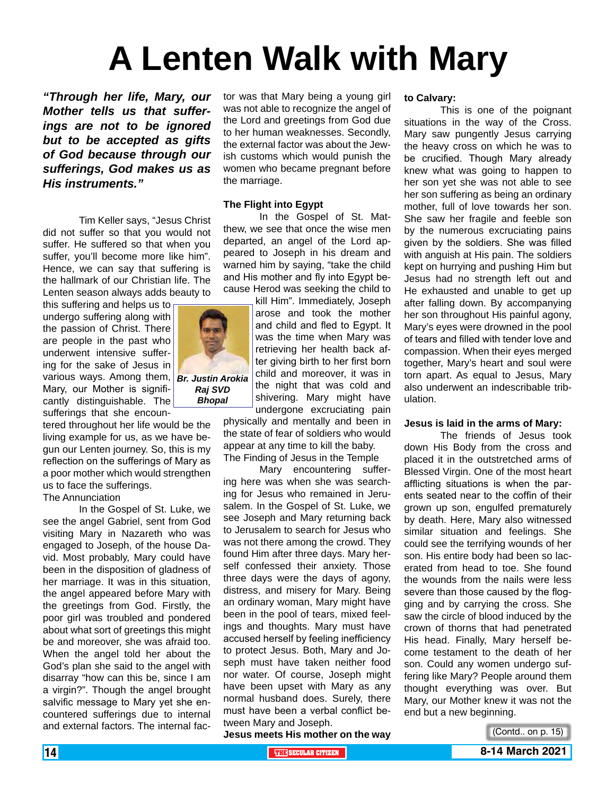# **A Lenten Walk with Mary**

*"Through her life, Mary, our Mother tells us that sufferings are not to be ignored but to be accepted as gifts of God because through our sufferings, God makes us as His instruments."*

Tim Keller says, "Jesus Christ did not suffer so that you would not suffer. He suffered so that when you suffer, you'll become more like him". Hence, we can say that suffering is the hallmark of our Christian life. The Lenten season always adds beauty to

this suffering and helps us to undergo suffering along with the passion of Christ. There are people in the past who underwent intensive suffering for the sake of Jesus in various ways. Among them, Mary, our Mother is significantly distinguishable. The sufferings that she encoun-

tered throughout her life would be the living example for us, as we have begun our Lenten journey. So, this is my reflection on the sufferings of Mary as a poor mother which would strengthen us to face the sufferings.

# The Annunciation

In the Gospel of St. Luke, we see the angel Gabriel, sent from God visiting Mary in Nazareth who was engaged to Joseph, of the house David. Most probably, Mary could have been in the disposition of gladness of her marriage. It was in this situation, the angel appeared before Mary with the greetings from God. Firstly, the poor girl was troubled and pondered about what sort of greetings this might be and moreover, she was afraid too. When the angel told her about the God's plan she said to the angel with disarray "how can this be, since I am a virgin?". Though the angel brought salvific message to Mary yet she encountered sufferings due to internal and external factors. The internal factor was that Mary being a young girl was not able to recognize the angel of the Lord and greetings from God due to her human weaknesses. Secondly, the external factor was about the Jewish customs which would punish the women who became pregnant before the marriage.

## **The Flight into Egypt**

In the Gospel of St. Matthew, we see that once the wise men departed, an angel of the Lord appeared to Joseph in his dream and warned him by saying, "take the child and His mother and fly into Egypt because Herod was seeking the child to

> kill Him". Immediately, Joseph arose and took the mother and child and fled to Egypt. It was the time when Mary was retrieving her health back after giving birth to her first born child and moreover, it was in the night that was cold and shivering. Mary might have undergone excruciating pain

physically and mentally and been in the state of fear of soldiers who would appear at any time to kill the baby. The Finding of Jesus in the Temple

Mary encountering suffering here was when she was searching for Jesus who remained in Jerusalem. In the Gospel of St. Luke, we see Joseph and Mary returning back to Jerusalem to search for Jesus who was not there among the crowd. They found Him after three days. Mary herself confessed their anxiety. Those three days were the days of agony, distress, and misery for Mary. Being an ordinary woman, Mary might have been in the pool of tears, mixed feelings and thoughts. Mary must have accused herself by feeling inefficiency to protect Jesus. Both, Mary and Joseph must have taken neither food nor water. Of course, Joseph might have been upset with Mary as any normal husband does. Surely, there must have been a verbal conflict between Mary and Joseph.

**to Calvary:**

This is one of the poignant situations in the way of the Cross. Mary saw pungently Jesus carrying the heavy cross on which he was to be crucified. Though Mary already knew what was going to happen to her son yet she was not able to see her son suffering as being an ordinary mother, full of love towards her son. She saw her fragile and feeble son by the numerous excruciating pains given by the soldiers. She was filled with anguish at His pain. The soldiers kept on hurrying and pushing Him but Jesus had no strength left out and He exhausted and unable to get up after falling down. By accompanying her son throughout His painful agony, Mary's eyes were drowned in the pool of tears and filled with tender love and compassion. When their eyes merged together, Mary's heart and soul were torn apart. As equal to Jesus, Mary also underwent an indescribable tribulation.

#### **Jesus is laid in the arms of Mary:**

The friends of Jesus took down His Body from the cross and placed it in the outstretched arms of Blessed Virgin. One of the most heart afflicting situations is when the parents seated near to the coffin of their grown up son, engulfed prematurely by death. Here, Mary also witnessed similar situation and feelings. She could see the terrifying wounds of her son. His entire body had been so lacerated from head to toe. She found the wounds from the nails were less severe than those caused by the flogging and by carrying the cross. She saw the circle of blood induced by the crown of thorns that had penetrated His head. Finally, Mary herself become testament to the death of her son. Could any women undergo suffering like Mary? People around them thought everything was over. But Mary, our Mother knew it was not the end but a new beginning.

**Jesus meets His mother on the way** 



(Contd.. on p. 15)



*Bhopal*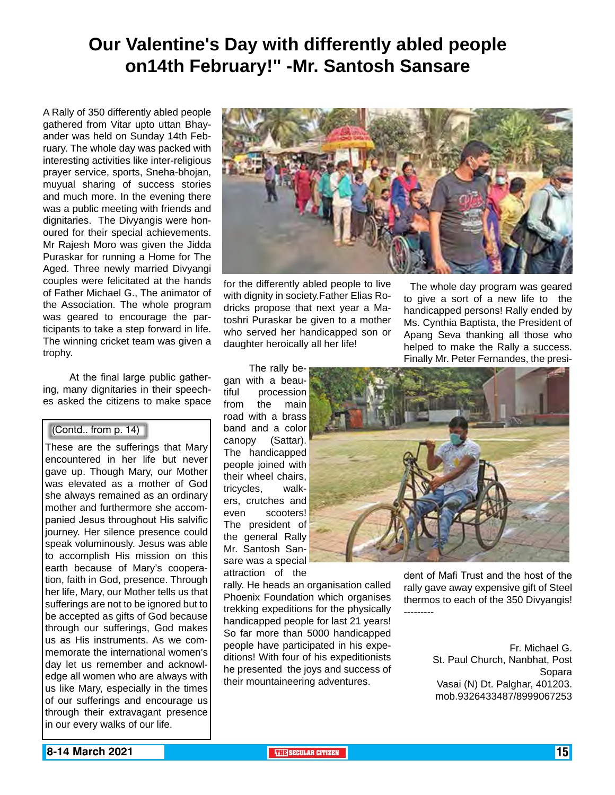# **Our Valentine's Day with differently abled people on14th February!" -Mr. Santosh Sansare**

A Rally of 350 differently abled people gathered from Vitar upto uttan Bhayander was held on Sunday 14th February. The whole day was packed with interesting activities like inter-religious prayer service, sports, Sneha-bhojan, muyual sharing of success stories and much more. In the evening there was a public meeting with friends and dignitaries. The Divyangis were honoured for their special achievements. Mr Rajesh Moro was given the Jidda Puraskar for running a Home for The Aged. Three newly married Divyangi couples were felicitated at the hands of Father Michael G., The animator of the Association. The whole program was geared to encourage the participants to take a step forward in life. The winning cricket team was given a trophy.

 At the final large public gathering, many dignitaries in their speeches asked the citizens to make space

## (Contd.. from p. 14)

These are the sufferings that Mary encountered in her life but never gave up. Though Mary, our Mother was elevated as a mother of God she always remained as an ordinary mother and furthermore she accompanied Jesus throughout His salvific journey. Her silence presence could speak voluminously. Jesus was able to accomplish His mission on this earth because of Mary's cooperation, faith in God, presence. Through her life, Mary, our Mother tells us that sufferings are not to be ignored but to be accepted as gifts of God because through our sufferings, God makes us as His instruments. As we commemorate the international women's day let us remember and acknowledge all women who are always with us like Mary, especially in the times of our sufferings and encourage us through their extravagant presence in our every walks of our life.



for the differently abled people to live with dignity in society.Father Elias Rodricks propose that next year a Matoshri Puraskar be given to a mother who served her handicapped son or daughter heroically all her life!

 The whole day program was geared to give a sort of a new life to the handicapped persons! Rally ended by Ms. Cynthia Baptista, the President of Apang Seva thanking all those who helped to make the Rally a success. Finally Mr. Peter Fernandes, the presi-

 The rally began with a beautiful procession from the main road with a brass band and a color canopy (Sattar). The handicapped people joined with their wheel chairs, tricycles, walkers, crutches and even scooters! The president of the general Rally Mr. Santosh Sansare was a special attraction of the

rally. He heads an organisation called Phoenix Foundation which organises trekking expeditions for the physically handicapped people for last 21 years! So far more than 5000 handicapped people have participated in his expeditions! With four of his expeditionists he presented the joys and success of their mountaineering adventures.



dent of Mafi Trust and the host of the rally gave away expensive gift of Steel thermos to each of the 350 Divyangis! ---------

> Fr. Michael G. St. Paul Church, Nanbhat, Post Sopara Vasai (N) Dt. Palghar, 401203. mob.9326433487/8999067253

**8-14 March 2021 THE THE THE THE SECULAR CITIZEN THE THE THE THE THE THE THE THE THE THE**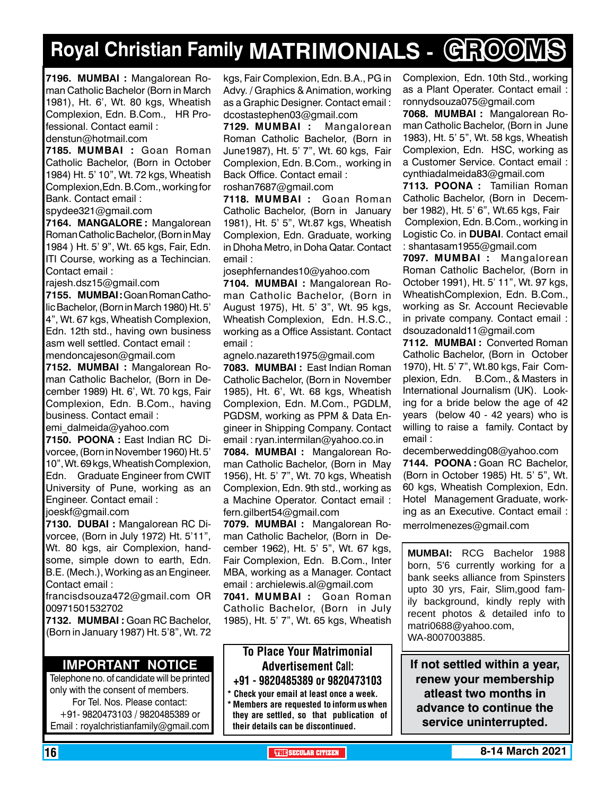# **Royal Christian Family MATRIMONIALS - GROOMS**

**7196. MUMBAI :** Mangalorean Roman Catholic Bachelor (Born in March 1981), Ht. 6', Wt. 80 kgs, Wheatish Complexion, Edn. B.Com., HR Professional. Contact eamil :

denstun@hotmail.com

**7185. MUMBAI :** Goan Roman Catholic Bachelor, (Born in October 1984) Ht. 5' 10", Wt. 72 kgs, Wheatish Complexion,Edn. B.Com., working for Bank. Contact email :

spydee321@gmail.com

**7164. MANGALORE :** Mangalorean Roman Catholic Bachelor, (Born in May 1984 ) Ht. 5' 9", Wt. 65 kgs, Fair, Edn. ITI Course, working as a Techincian. Contact email :

rajesh.dsz15@gmail.com

**7155. MUMBAI :** Goan Roman Catholic Bachelor, (Born in March 1980) Ht. 5' 4", Wt. 67 kgs, Wheatish Complexion, Edn. 12th std., having own business asm well settled. Contact email : mendoncajeson@gmail.com

**7152. MUMBAI :** Mangalorean Roman Catholic Bachelor, (Born in December 1989) Ht. 6', Wt. 70 kgs, Fair Complexion, Edn. B.Com., having business. Contact email :

emi\_dalmeida@yahoo.com

**7150. POONA :** East Indian RC Divorcee, (Born in November 1960) Ht. 5' 10", Wt. 69 kgs, Wheatish Complexion, Edn. Graduate Engineer from CWIT University of Pune, working as an Engineer. Contact email :

joeskf@gmail.com

**7130. DUBAI :** Mangalorean RC Divorcee, (Born in July 1972) Ht. 5'11", Wt. 80 kgs, air Complexion, handsome, simple down to earth, Edn. B.E. (Mech.), Working as an Engineer. Contact email :

francisdsouza472@gmail.com OR 00971501532702

**7132. MUMBAI :** Goan RC Bachelor, (Born in January 1987) Ht. 5'8", Wt. 72

# **Important Notice**

Telephone no. of candidate will be printed only with the consent of members. For Tel. Nos. Please contact: +91- 9820473103 / 9820485389 or Email : royalchristianfamily@gmail.com

kgs, Fair Complexion, Edn. B.A., PG in Advy. / Graphics & Animation, working as a Graphic Designer. Contact email : dcostastephen03@gmail.com

**7129. MUMBAI :** Mangalorean Roman Catholic Bachelor, (Born in June1987), Ht. 5' 7", Wt. 60 kgs, Fair Complexion, Edn. B.Com., working in Back Office. Contact email : roshan7687@gmail.com

**7118. MUMBAI :** Goan Roman Catholic Bachelor, (Born in January 1981), Ht. 5' 5", Wt.87 kgs, Wheatish Complexion, Edn. Graduate, working in Dhoha Metro, in Doha Qatar. Contact email :

josephfernandes10@yahoo.com

**7104. MUMBAI :** Mangalorean Roman Catholic Bachelor, (Born in August 1975), Ht. 5' 3", Wt. 95 kgs, Wheatish Complexion, Edn. H.S.C., working as a Office Assistant. Contact email :

agnelo.nazareth1975@gmail.com

**7083. MUMBAI :** East Indian Roman Catholic Bachelor, (Born in November 1985), Ht. 6', Wt. 68 kgs, Wheatish Complexion, Edn. M.Com., PGDLM, PGDSM, working as PPM & Data Engineer in Shipping Company. Contact email : ryan.intermilan@yahoo.co.in

**7084. MUMBAI :** Mangalorean Roman Catholic Bachelor, (Born in May 1956), Ht. 5' 7", Wt. 70 kgs, Wheatish Complexion, Edn. 9th std., working as a Machine Operator. Contact email : fern.gilbert54@gmail.com

**7079. MUMBAI :** Mangalorean Roman Catholic Bachelor, (Born in December 1962), Ht. 5' 5", Wt. 67 kgs, Fair Complexion, Edn. B.Com., Inter MBA, working as a Manager. Contact email : archielewis.al@gmail.com

**7041. MUMBAI :** Goan Roman Catholic Bachelor, (Born in July 1985), Ht. 5' 7", Wt. 65 kgs, Wheatish

# To Place Your Matrimonial Advertisement Call: +91 - 9820485389 or 9820473103

Check your email at least once a week. \* Members are requested to inform us when they are settled, so that publication of their details can be discontinued.

Complexion, Edn. 10th Std., working as a Plant Operater. Contact email : ronnydsouza075@gmail.com

**7068. MUMBAI :** Mangalorean Roman Catholic Bachelor, (Born in June 1983), Ht. 5' 5", Wt. 58 kgs, Wheatish Complexion, Edn. HSC, working as a Customer Service. Contact email : cynthiadalmeida83@gmail.com

**7113. POONA :** Tamilian Roman Catholic Bachelor, (Born in December 1982), Ht. 5' 6", Wt.65 kgs, Fair Complexion, Edn. B.Com., working in Logistic Co. in **DUBAI**. Contact email : shantasam1955@gmail.com

**7097. MUMBAI :** Mangalorean Roman Catholic Bachelor, (Born in October 1991), Ht. 5' 11", Wt. 97 kgs, WheatishComplexion, Edn. B.Com., working as Sr. Account Recievable in private company. Contact email : dsouzadonald11@gmail.com

**7112. MUMBAI :** Converted Roman Catholic Bachelor, (Born in October 1970), Ht. 5' 7", Wt.80 kgs, Fair Complexion, Edn. B.Com., & Masters in International Journalism (UK). Looking for a bride below the age of 42 years (below 40 - 42 years) who is willing to raise a family. Contact by email :

decemberwedding08@yahoo.com **7144. POONA :** Goan RC Bachelor, (Born in October 1985) Ht. 5' 5", Wt. 60 kgs, Wheatish Complexion, Edn. Hotel Management Graduate, working as an Executive. Contact email : merrolmenezes@gmail.com

**MUMBAI:** RCG Bachelor 1988 born, 5'6 currently working for a bank seeks alliance from Spinsters upto 30 yrs, Fair, Slim,good family background, kindly reply with recent photos & detailed info to matri0688@yahoo.com, WA-8007003885.

**If not settled within a year, renew your membership atleast two months in advance to continue the service uninterrupted.**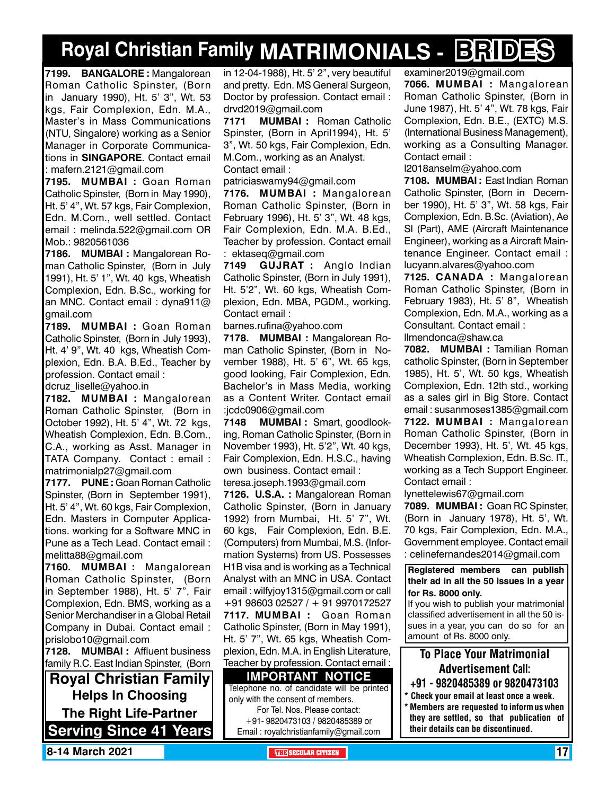# **Royal Christian Family MATRIMONIALS - BRIDES**

**7199. BANGALORE :** Mangalorean Roman Catholic Spinster, (Born in January 1990), Ht. 5' 3", Wt. 53 kgs, Fair Complexion, Edn. M.A., Master's in Mass Communications (NTU, Singalore) working as a Senior Manager in Corporate Communications in **SINGAPORE**. Contact email : mafern.2121@gmail.com

**7195. MUMBAI :** Goan Roman Catholic Spinster, (Born in May 1990), Ht. 5' 4", Wt. 57 kgs, Fair Complexion, Edn. M.Com., well settled. Contact email : melinda.522@gmail.com OR Mob.: 9820561036

**7186. MUMBAI :** Mangalorean Roman Catholic Spinster, (Born in July 1991), Ht. 5' 1", Wt. 40 kgs, Wheatish Complexion, Edn. B.Sc., working for an MNC. Contact email : dyna911@ gmail.com

**7189. MUMBAI :** Goan Roman Catholic Spinster, (Born in July 1993), Ht. 4' 9", Wt. 40 kgs, Wheatish Complexion, Edn. B.A. B.Ed., Teacher by profession. Contact email :

dcruz\_liselle@yahoo.in

**7182. MUMBAI :** Mangalorean Roman Catholic Spinster, (Born in October 1992), Ht. 5' 4", Wt. 72 kgs, Wheatish Complexion, Edn. B.Com., C.A., working as Asst. Manager in TATA Company. Contact : email : matrimonialp27@gmail.com

**7177. PUNE :** Goan Roman Catholic Spinster, (Born in September 1991), Ht. 5' 4", Wt. 60 kgs, Fair Complexion, Edn. Masters in Computer Applications. working for a Software MNC in Pune as a Tech Lead. Contact email : melitta88@gmail.com

**7160. MUMBAI :** Mangalorean Roman Catholic Spinster, (Born in September 1988), Ht. 5' 7", Fair Complexion, Edn. BMS, working as a Senior Merchandiser in a Global Retail Company in Dubai. Contact email : prislobo10@gmail.com

**7128. MUMBAI :** Affluent business family R.C. East Indian Spinster, (Born

**Royal Christian Family Helps In Choosing The Right Life-Partner Serving Since 41 Years** in 12-04-1988), Ht. 5' 2", very beautiful and pretty. Edn. MS General Surgeon, Doctor by profession. Contact email : drvd2019@gmail.com

**7171 MUMBAI :** Roman Catholic Spinster, (Born in April1994), Ht. 5' 3", Wt. 50 kgs, Fair Complexion, Edn. M.Com., working as an Analyst. Contact email :

patriciaswamy94@gmail.com

**7176. MUMBAI :** Mangalorean Roman Catholic Spinster, (Born in February 1996), Ht. 5' 3", Wt. 48 kgs, Fair Complexion, Edn. M.A. B.Ed., Teacher by profession. Contact email : ektaseq@gmail.com

**7149 GUJRAT :** Anglo Indian Catholic Spinster, (Born in July 1991), Ht. 5'2", Wt. 60 kgs, Wheatish Complexion, Edn. MBA, PGDM., working. Contact email :

barnes.rufina@yahoo.com

**7178. MUMBAI :** Mangalorean Roman Catholic Spinster, (Born in November 1988), Ht. 5' 6", Wt. 65 kgs, good looking, Fair Complexion, Edn. Bachelor's in Mass Media, working as a Content Writer. Contact email :jcdc0906@gmail.com

**7148 MUMBAI :** Smart, goodlooking, Roman Catholic Spinster, (Born in November 1993), Ht. 5'2", Wt. 40 kgs, Fair Complexion, Edn. H.S.C., having own business. Contact email : teresa.joseph.1993@gmail.com

**7126. U.S.A. :** Mangalorean Roman Catholic Spinster, (Born in January 1992) from Mumbai, Ht. 5' 7", Wt. 60 kgs, Fair Complexion, Edn. B.E. (Computers) from Mumbai, M.S. (Information Systems) from US. Possesses H1B visa and is working as a Technical Analyst with an MNC in USA. Contact email : wilfyjoy1315@gmail.com or call +91 98603 02527 / + 91 9970172527 **7117. MUMBAI :** Goan Roman Catholic Spinster, (Born in May 1991), Ht. 5' 7", Wt. 65 kgs, Wheatish Complexion, Edn. M.A. in English Literature, Teacher by profession. Contact email :

**Important Notice** Telephone no. of candidate will be printed only with the consent of members. For Tel. Nos. Please contact: +91- 9820473103 / 9820485389 or Email : royalchristianfamily@gmail.com

examiner2019@gmail.com **7066. MUMBAI :** Mangalorean Roman Catholic Spinster, (Born in

June 1987), Ht. 5' 4", Wt. 78 kgs, Fair Complexion, Edn. B.E., (EXTC) M.S. (International Business Management), working as a Consulting Manager. Contact email :

l2018anselm@yahoo.com

**7108. MUMBAI :** East Indian Roman Catholic Spinster, (Born in December 1990), Ht. 5' 3", Wt. 58 kgs, Fair Complexion, Edn. B.Sc. (Aviation), Ae SI (Part), AME (Aircraft Maintenance Engineer), working as a Aircraft Maintenance Engineer. Contact email : lucyann.alvares@yahoo.com

**7125. CANADA :** Mangalorean Roman Catholic Spinster, (Born in February 1983), Ht. 5' 8", Wheatish Complexion, Edn. M.A., working as a Consultant. Contact email : llmendonca@shaw.ca

**7082. MUMBAI :** Tamilian Roman catholic Spinster, (Born in September 1985), Ht. 5', Wt. 50 kgs, Wheatish Complexion, Edn. 12th std., working as a sales girl in Big Store. Contact email : susanmoses1385@gmail.com **7122. MUMBAI :** Mangalorean Roman Catholic Spinster, (Born in December 1993), Ht. 5', Wt. 45 kgs, Wheatish Complexion, Edn. B.Sc. IT., working as a Tech Support Engineer. Contact email :

lynettelewis67@gmail.com

**7089. MUMBAI :** Goan RC Spinster, (Born in January 1978), Ht. 5', Wt. 70 kgs, Fair Complexion, Edn. M.A., Government employee. Contact email : celinefernandes2014@gmail.com

**Registered members can publish their ad in all the 50 issues in a year for Rs. 8000 only.**

If you wish to publish your matrimonial classified advertisement in all the 50 issues in a year, you can do so for an amount of Rs. 8000 only.

# To Place Your Matrimonial Advertisement Call:

- +91 9820485389 or 9820473103
- \* Check your email at least once a week. \* Members are requested to inform us when they are settled, so that publication of their details can be discontinued.

**8-14 March 2021 THE THE THE THE SECULAR CITIZEN THE SECULAR CITIZEN 17**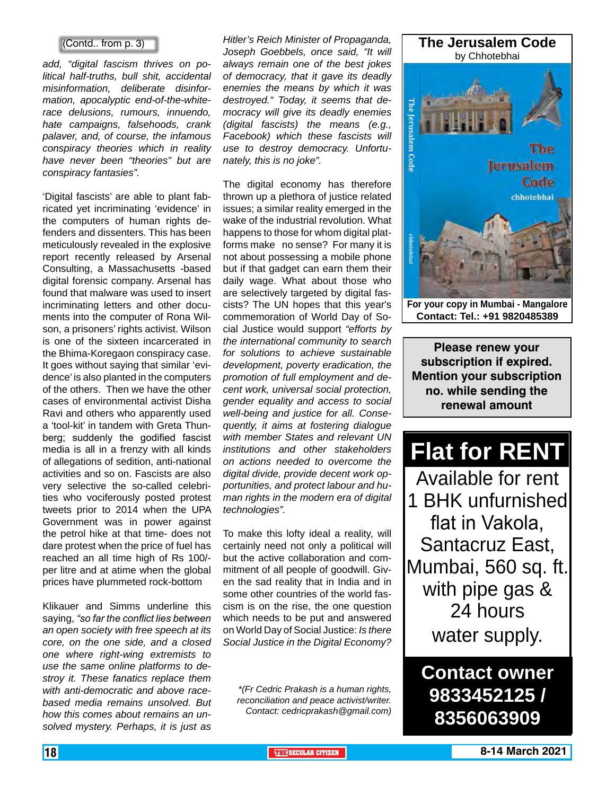## (Contd.. from p. 3)

*add, "digital fascism thrives on political half-truths, bull shit, accidental misinformation, deliberate disinformation, apocalyptic end-of-the-whiterace delusions, rumours, innuendo, hate campaigns, falsehoods, crank palaver, and, of course, the infamous conspiracy theories which in reality have never been "theories" but are conspiracy fantasies".*

'Digital fascists' are able to plant fabricated yet incriminating 'evidence' in the computers of human rights defenders and dissenters. This has been meticulously revealed in the explosive report recently released by Arsenal Consulting, a Massachusetts -based digital forensic company. Arsenal has found that malware was used to insert incriminating letters and other documents into the computer of Rona Wilson, a prisoners' rights activist. Wilson is one of the sixteen incarcerated in the Bhima-Koregaon conspiracy case. It goes without saying that similar 'evidence' is also planted in the computers of the others. Then we have the other cases of environmental activist Disha Ravi and others who apparently used a 'tool-kit' in tandem with Greta Thunberg; suddenly the godified fascist media is all in a frenzy with all kinds of allegations of sedition, anti-national activities and so on. Fascists are also very selective the so-called celebrities who vociferously posted protest tweets prior to 2014 when the UPA Government was in power against the petrol hike at that time- does not dare protest when the price of fuel has reached an all time high of Rs 100/ per litre and at atime when the global prices have plummeted rock-bottom

Klikauer and Simms underline this saying, *"so far the conflict lies between an open society with free speech at its core, on the one side, and a closed one where right-wing extremists to use the same online platforms to destroy it. These fanatics replace them with anti-democratic and above racebased media remains unsolved. But how this comes about remains an unsolved mystery. Perhaps, it is just as* 

*Hitler's Reich Minister of Propaganda, Joseph Goebbels, once said, "It will always remain one of the best jokes of democracy, that it gave its deadly enemies the means by which it was destroyed." Today, it seems that democracy will give its deadly enemies (digital fascists) the means (e.g., Facebook) which these fascists will use to destroy democracy. Unfortunately, this is no joke".*

The digital economy has therefore thrown up a plethora of justice related issues; a similar reality emerged in the wake of the industrial revolution. What happens to those for whom digital platforms make no sense? For many it is not about possessing a mobile phone but if that gadget can earn them their daily wage. What about those who are selectively targeted by digital fascists? The UN hopes that this year's commemoration of World Day of Social Justice would support *"efforts by the international community to search for solutions to achieve sustainable development, poverty eradication, the promotion of full employment and decent work, universal social protection, gender equality and access to social well-being and justice for all. Consequently, it aims at fostering dialogue with member States and relevant UN institutions and other stakeholders on actions needed to overcome the digital divide, provide decent work opportunities, and protect labour and human rights in the modern era of digital technologies".*

To make this lofty ideal a reality, will certainly need not only a political will but the active collaboration and commitment of all people of goodwill. Given the sad reality that in India and in some other countries of the world fascism is on the rise, the one question which needs to be put and answered on World Day of Social Justice: *Is there Social Justice in the Digital Economy?*

*\*(Fr Cedric Prakash is a human rights, reconciliation and peace activist/writer. Contact: cedricprakash@gmail.com)*



**Contact: Tel.: +91 9820485389**

**Please renew your subscription if expired. Mention your subscription no. while sending the renewal amount**

# **Flat for RENT**

Available for rent 1 BHK unfurnished flat in Vakola, Santacruz East, Mumbai, 560 sq. ft. with pipe gas & 24 hours water supply.

**Contact owner 9833452125 / 8356063909**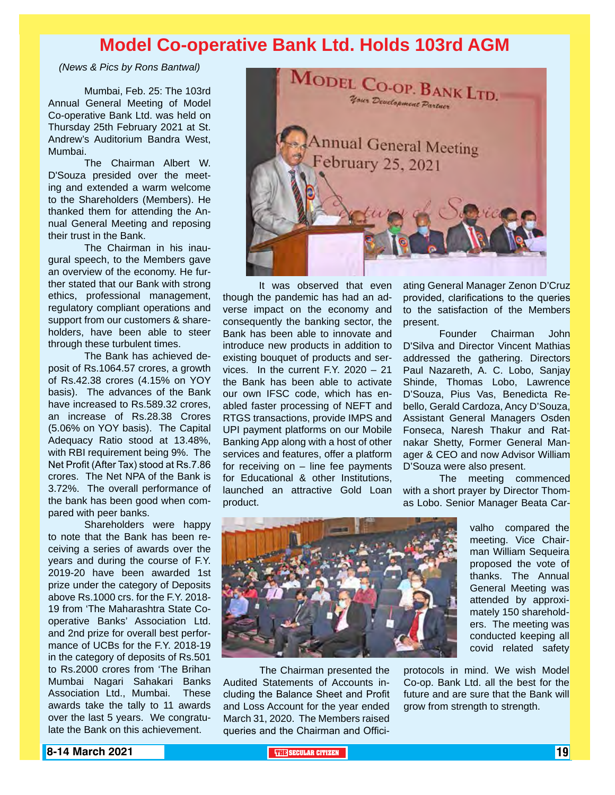# **Model Co-operative Bank Ltd. Holds 103rd AGM**

*(News & Pics by Rons Bantwal)* 

Mumbai, Feb. 25: The 103rd Annual General Meeting of Model Co-operative Bank Ltd. was held on Thursday 25th February 2021 at St. Andrew's Auditorium Bandra West, Mumbai.

The Chairman Albert W. D'Souza presided over the meeting and extended a warm welcome to the Shareholders (Members). He thanked them for attending the Annual General Meeting and reposing their trust in the Bank.

The Chairman in his inaugural speech, to the Members gave an overview of the economy. He further stated that our Bank with strong ethics, professional management, regulatory compliant operations and support from our customers & shareholders, have been able to steer through these turbulent times.

The Bank has achieved deposit of Rs.1064.57 crores, a growth of Rs.42.38 crores (4.15% on YOY basis). The advances of the Bank have increased to Rs.589.32 crores, an increase of Rs.28.38 Crores (5.06% on YOY basis). The Capital Adequacy Ratio stood at 13.48%, with RBI requirement being 9%. The Net Profit (After Tax) stood at Rs.7.86 crores. The Net NPA of the Bank is 3.72%. The overall performance of the bank has been good when compared with peer banks.

Shareholders were happy to note that the Bank has been receiving a series of awards over the years and during the course of F.Y. 2019-20 have been awarded 1st prize under the category of Deposits above Rs.1000 crs. for the F.Y. 2018- 19 from 'The Maharashtra State Cooperative Banks' Association Ltd. and 2nd prize for overall best performance of UCBs for the F.Y. 2018-19 in the category of deposits of Rs.501 to Rs.2000 crores from 'The Brihan Mumbai Nagari Sahakari Banks Association Ltd., Mumbai. These awards take the tally to 11 awards over the last 5 years. We congratulate the Bank on this achievement.



It was observed that even though the pandemic has had an adverse impact on the economy and consequently the banking sector, the Bank has been able to innovate and introduce new products in addition to existing bouquet of products and services. In the current F.Y. 2020 – 21 the Bank has been able to activate our own IFSC code, which has enabled faster processing of NEFT and RTGS transactions, provide IMPS and UPI payment platforms on our Mobile Banking App along with a host of other services and features, offer a platform for receiving on – line fee payments for Educational & other Institutions, launched an attractive Gold Loan product.

ating General Manager Zenon D'Cruz provided, clarifications to the queries to the satisfaction of the Members present.

Founder Chairman John D'Silva and Director Vincent Mathias addressed the gathering. Directors Paul Nazareth, A. C. Lobo, Sanjay Shinde, Thomas Lobo, Lawrence D'Souza, Pius Vas, Benedicta Rebello, Gerald Cardoza, Ancy D'Souza, Assistant General Managers Osden Fonseca, Naresh Thakur and Ratnakar Shetty, Former General Manager & CEO and now Advisor William D'Souza were also present.

The meeting commenced with a short prayer by Director Thomas Lobo. Senior Manager Beata Car-



The Chairman presented the Audited Statements of Accounts including the Balance Sheet and Profit and Loss Account for the year ended March 31, 2020. The Members raised queries and the Chairman and Officivalho compared the meeting. Vice Chairman William Sequeira proposed the vote of thanks. The Annual General Meeting was attended by approximately 150 shareholders. The meeting was conducted keeping all covid related safety

protocols in mind. We wish Model Co-op. Bank Ltd. all the best for the future and are sure that the Bank will grow from strength to strength.